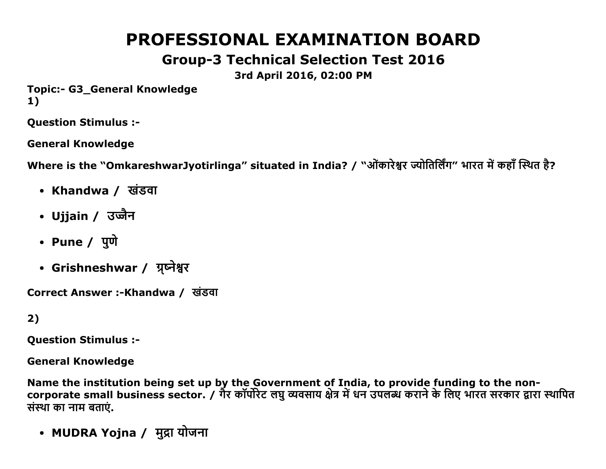# PROFESSIONAL EXAMINATION BOARD

# Group3 Technical Selection Test 2016

3rd April 2016, 02:00 PM

Topic:- G3 General Knowledge 1)

Question Stimulus :

General Knowledge

Where is the "OmkareshwarJyotirlinga" situated in India? / "ओंकारेश्वर ज्योतिर्लिंग" भारत में कहाँ स्थित है?

- Khandwa / खंडवा
- Ujjain / उज्जैन
- Pune / पुणे
- Grishneshwar / ग्र्प्नेश्वर

Correct Answer :-Khandwa / खंडवा

### 2)

Question Stimulus :

General Knowledge

Name the institution being set up by the Government of India, to provide funding to the noncorporate small business sector. / गैर कार्पोरेट लघु व्यवसाय क्षेत्र में धन उपलब्ध कराने के लिए भारत सरकार द्वारा स्थापित संस्था का नाम बताएं.

• MUDRA Yojna / मुद्रा योजना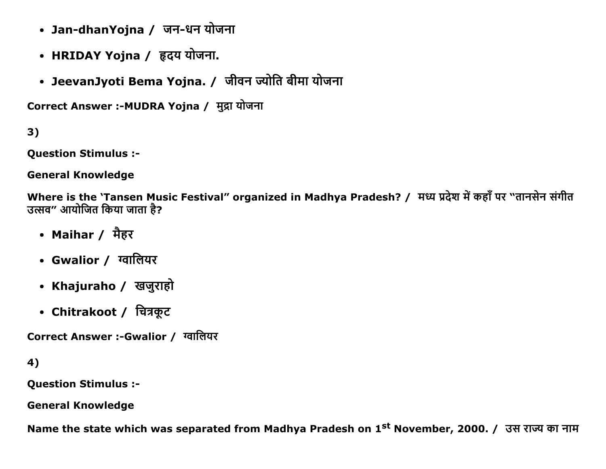- Jan-dhanYojna / जन-धन योजना
- HRIDAY Yojna / हृदय योजना.
- JeevanJyoti Bema Yojna. / जीवन ज्योति बीमा योजना

Correct Answer :- MUDRA Yojna / मुद्रा योजना

 $3)$ 

**Question Stimulus :-**

**General Knowledge** 

Where is the 'Tansen Music Festival" organized in Madhya Pradesh? / मध्य प्रदेश में कहाँ पर "तानसेन संगीत उत्सव" आयोजित किया जाता है?

- Maihar / मैहर
- Gwalior / ग्वालियर
- Khajuraho / खजुराहो
- Chitrakoot / चित्रकूट

Correct Answer :-Gwalior / ग्वालियर

```
4)
```
**Question Stimulus :-**

**General Knowledge** 

Name the state which was separated from Madhya Pradesh on 1<sup>st</sup> November, 2000. / उस राज्य का नाम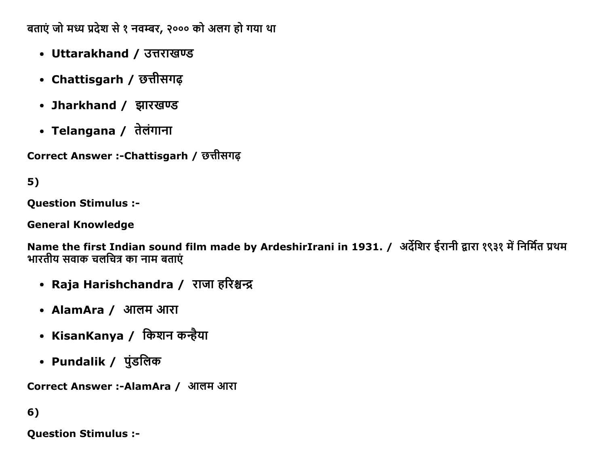बताएं जो मध्य प्रदेश से १ नवम्बर, २००० को अलग हो गया था

- Uttarakhand / उत्तराखण्ड
- Chattisgarh / छत्तीसगढ़
- Jharkhand / झारखण्ड
- Telangana / तेलंगाना

Correct Answer :-Chattisgarh / छत्तीसगढ़

# $5)$

**Question Stimulus :-**

**General Knowledge** 

Name the first Indian sound film made by ArdeshirIrani in 1931. / अर्देशिर ईरानी द्वारा १९३१ में निर्मित प्रथम भारतीय सवाक चलचित्र का नाम बताएं

- Raja Harishchandra / राजा हरिश्चन्द्र
- AlamAra / आलम आरा
- KisanKanya / किशन कन्हैया
- Pundalik / पुंडलिक

Correct Answer :-AlamAra / आलम आरा

 $6)$ 

**Question Stimulus :-**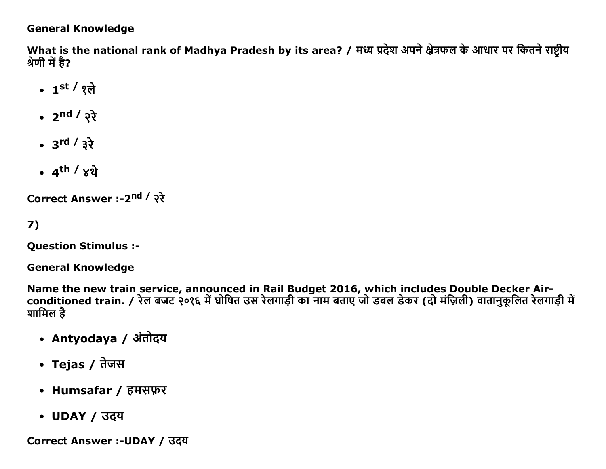#### **General Knowledge**

What is the national rank of Madhya Pradesh by its area? / मध्य प्रदेश अपने क्षेत्रफल के आधार पर कितने राष्टीय श्रेणी में है?

- 1st / १ते
- $2^{nd} / 27$
- $3^{\text{rd}} / 3^{\frac{1}{2}}$
- $\cdot$  4<sup>th</sup> /  $\times$ थे

Correct Answer :-2<sup>nd</sup> / २रे

 $7)$ 

**Question Stimulus :-**

**General Knowledge** 

Name the new train service, announced in Rail Budget 2016, which includes Double Decker Airconditioned train. / रेल बजट २०१६ में घोषित उस रेलगाड़ी का नाम बताए जो डबल डेकर (दो मंज़िली) वातानुकूलित रेलगाड़ी मे शामिल है

- Antyodaya / अंतोदय
- Tejas / तेजस
- Humsafar / हमसफ़र
- UDAY / उदय

Correct Answer :- UDAY / उदय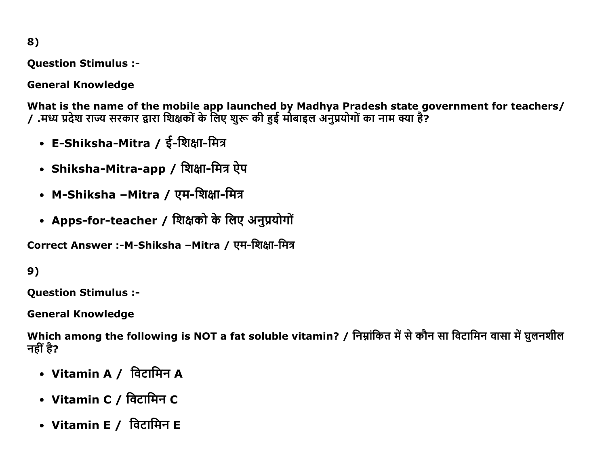8)

Question Stimulus :

General Knowledge

What is the name of the mobile app launched by Madhya Pradesh state government for teachers/ / .मध्य प्रदेश राज्य सरकार द्वारा शिक्षकों के लिए शुरू की हुई मोबाइल अनुप्रयोगों का नाम क्या है?

- E-Shiksha-Mitra / ई-शिक्षा-मित्र
- Shiksha-Mitra-app / शिक्षा-मित्र ऐप
- M-Shiksha –Mitra / एम-शिक्षा-मित्र
- Apps-for-teacher / शिक्षको के लिए अनुप्रयोगों

Correct Answer :-M-Shiksha –Mitra / एम-शिक्षा-मित्र

9)

Question Stimulus :

General Knowledge

Which among the following is NOT a fat soluble vitamin? / निम्नांकित में से कौन सा विटामिन वासा में घुलनशील नहीं है?

- Vitamin A / विटामिन A
- Vitamin C / विटामिन C
- Vitamin E / विटामिन E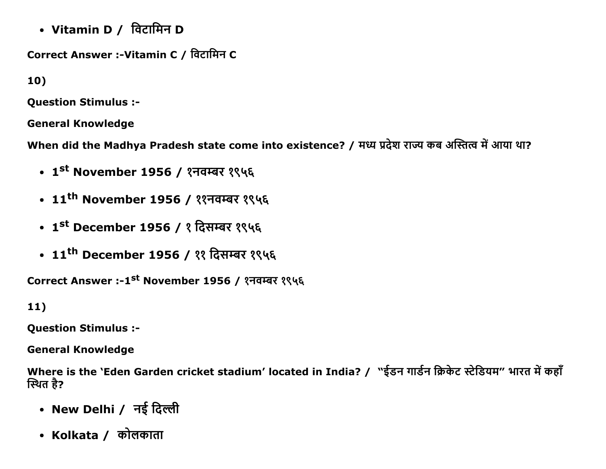• Vitamin D / विटामिन D

Correct Answer :-Vitamin C / विटामिन C

10)

**Question Stimulus :-**

**General Knowledge** 

When did the Madhya Pradesh state come into existence? / मध्य प्रदेश राज्य कब अस्तित्व में आया था?

- 1<sup>st</sup> November 1956 / १नवम्बर १९५६
- 11<sup>th</sup> November 1956 / ११नवम्बर १९५६
- 1<sup>st</sup> December 1956 / १ दिसम्बर १९५६
- 11<sup>th</sup> December 1956 / ११ दिसम्बर १९५६

Correct Answer :-1<sup>st</sup> November 1956 / १नवम्बर १९५६

 $11)$ 

**Question Stimulus :-**

**General Knowledge** 

Where is the 'Eden Garden cricket stadium' located in India? / "ईडन गार्डन क्रिकेट स्टेडियम" भारत में कहाँ स्थित है?

- New Delhi / नई दिल्ली
- Kolkata / कोलकाता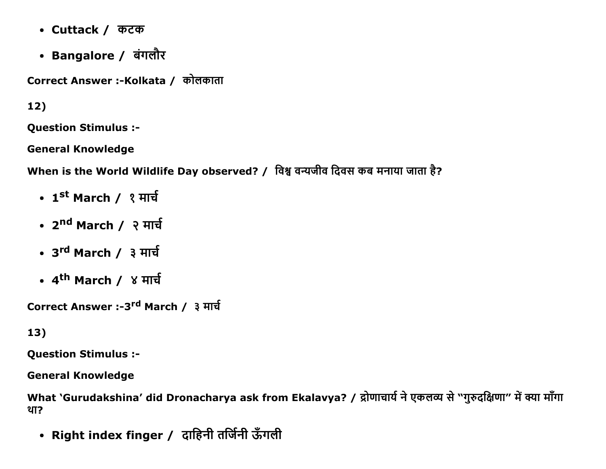- Cuttack / कटक
- Bangalore / बंगलौर

Correct Answer :-Kolkata / कोलकाता

 $12)$ 

**Question Stimulus :-**

**General Knowledge** 

When is the World Wildlife Day observed? / विश्व वन्यजीव दिवस कब मनाया जाता है?

- 1st March / १ मार्च
- 2<sup>nd</sup> March / २ मार्च
- 3<sup>rd</sup> March / ३ मार्च
- 4<sup>th</sup> March / ४ मार्च

Correct Answer :-3<sup>rd</sup> March / ३ मार्च

### 13)

**Question Stimulus :-**

**General Knowledge** 

What `Gurudakshina' did Dronacharya ask from Ekalavya? / द्रोणाचार्य ने एकलव्य से "गुरुदक्षिणा" में क्या माँगा था?

• Right index finger / दाहिनी तर्जिनी ऊँगली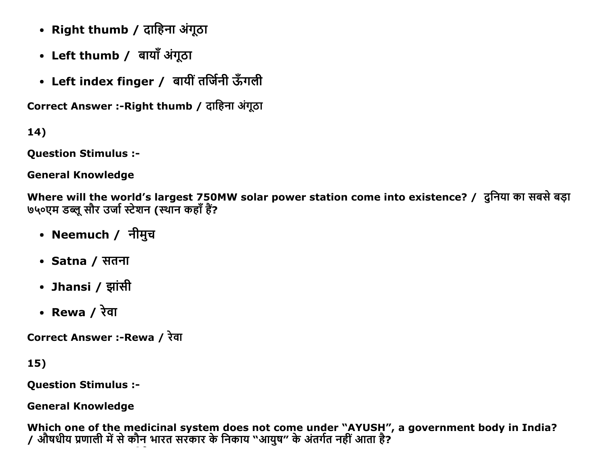- Right thumb / दाहिना अंगूठा
- Left thumb / बायाँ अंगूठा
- Left index finger / बायीं तर्जिनी ऊँगली

Correct Answer :-Right thumb / दाहिना अंगूठा

14)

Question Stimulus :

General Knowledge

Where will the world's largest 750MW solar power station come into existence? / दनिया का सबसे बड़ा ७५०एम डब्लू सौर उर्जा स्टेशन (स्थान कहाँ हैं?

- Neemuch / नीमुच
- Satna / सतना
- Jhansi / झांसी
- Rewa /  $\overline{x}$ वा

Correct Answer :-Rewa / रेवा

15)

Question Stimulus :

General Knowledge

Which one of the medicinal system does not come under "AYUSH", a government body in India? / औषधीय प्रणाली में से कौन भारत सरकार के निकाय "आयुष" के अंतर्गत नहीं आता है?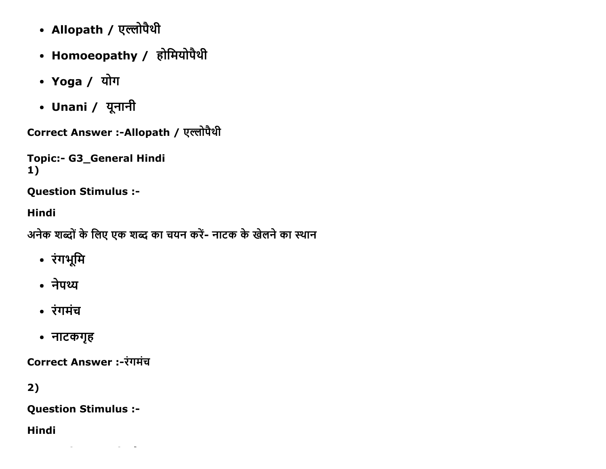- Allopath / एल्लोपैथी
- Homoeopathy / होमियोपैथी
- Yoga / योग
- Unani / यूनानी

Correct Answer :- Allopath / एल्लोपैथी

```
Topic:- G3_General Hindi
1)
```
**Question Stimulus :-**

**Hindi** 

```
अनेक शब्दों के लिए एक शब्द का चयन करें- नाटक के खेलने का स्थान
```
- रंगभूमि
- नेपथ्य
- रंगमंच
- नाटकगृह

Correct Answer :-रंगमंच

 $2)$ 

**Question Stimulus :-**

**Hindi**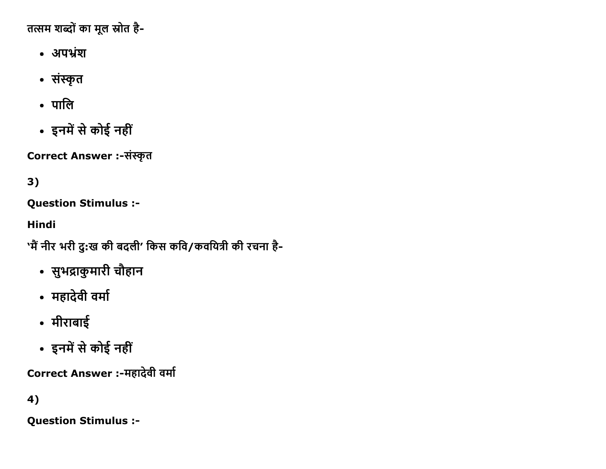तत्सम शब्दों का मूल स्रोत है-

- अपभ्रंश
- संस्कृत
- पालि
- इनमें से कोई नहीं

Correct Answer :-संस्कृत

# $3)$

**Question Stimulus :-**

**Hindi** 

'मैं नीर भरी दु:ख की बदली' किस कवि/कवयित्री की रचना है-

- सुभद्राकुमारी चौहान
- महादेवी वर्मा
- मीराबाई
- इनमें से कोई नहीं

Correct Answer :-महादेवी वर्मा

# 4)

**Question Stimulus :-**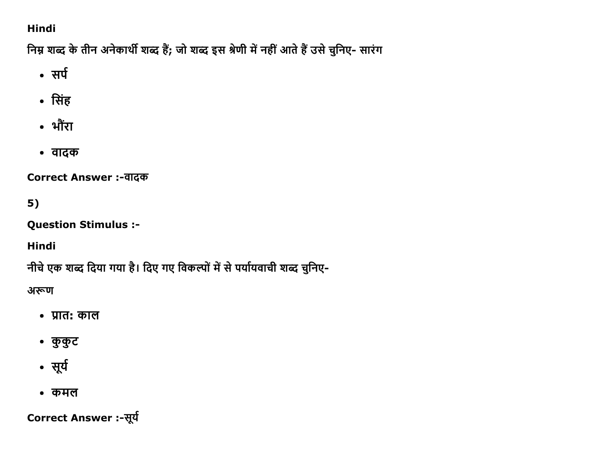### Hindi

निम्न शब्द के तीन अनेकार्थी शब्द हैं; जो शब्द इस श्रेणी में नहीं आते हैं उसे चुनिए- सारंग

- सर्प
- सिंह
- भौंरा
- वादक

Correct Answer :-वादक

## $5)$

**Question Stimulus :-**

Hindi

नीचे एक शब्द दिया गया है। दिए गए विकल्पों में से पर्यायवाची शब्द चुनिए-

अरूण

- प्रात: काल
- कुकुट
- सूर्य
- कमल

Correct Answer :-सूर्य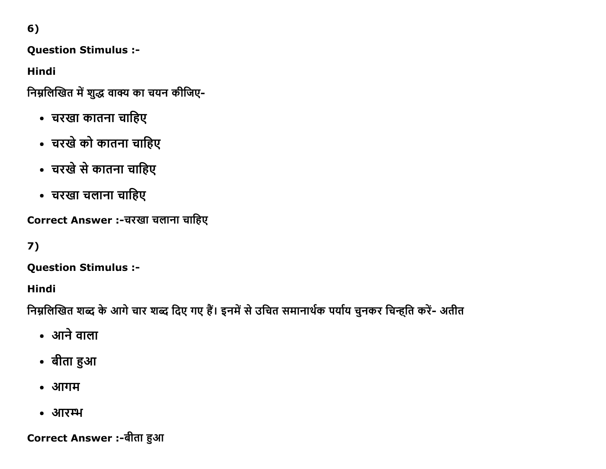6)

**Question Stimulus :-**

**Hindi** 

निम्नलिखित में शुद्ध वाक्य का चयन कीजिए-

- चरखा कातना चाहिए
- चरखे को कातना चाहिए
- चरखे से कातना चाहिए
- चरखा चलाना चाहिए

Correct Answer :-चरखा चलाना चाहिए

### $7)$

**Question Stimulus :-**

Hindi

निम्नलिखित शब्द के आगे चार शब्द दिए गए हैं। इनमें से उचित समानार्थक पर्याय चुनकर चिन्ह्ति करें- अतीत

- आने वाला
- बीता हुआ
- आगम
- आरम्भ

Correct Answer :-बीता हुआ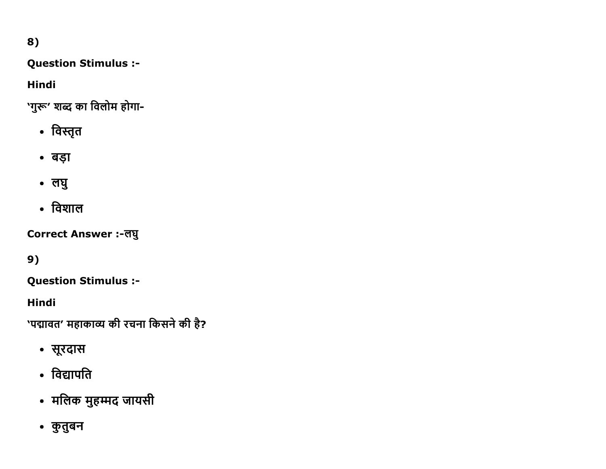# 8)

#### **Question Stimulus :-**

### **Hindi**

'गुरू' शब्द का विलोम होगा-

- विस्तृत
- बड़ा
- लघु
- विशाल

Correct Answer :-लघु

# 9)

**Question Stimulus :-**

**Hindi** 

'पद्मावत' महाकाव्य की रचना किसने की है?

- सूरदास
- विद्यापति
- मलिक मुहम्मद जायसी
- कुतुबन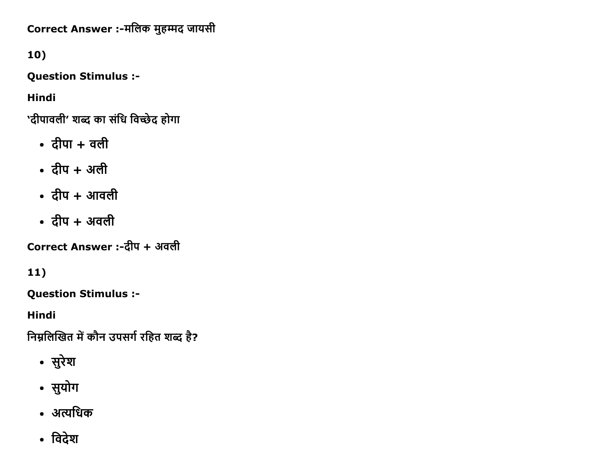Correct Answer :-मलिक मुहम्मद जायसी

10)

Question Stimulus :

Hindi

'दीपावली' शब्द का संधि विच्छेद होगा

- $\bullet$  दीपा + वली
- $\bullet$  दीप + अली
- $\cdot$  दीप + आवली
- $\bullet$  दीप + अवली

Correct Answer :-दीप + अवली

11)

Question Stimulus :

Hindi

निम्नलिखित में कौन उपसर्ग रहित शब्द है?

- सुरेश
- सुयोग
- अत्यधिक
- विदेश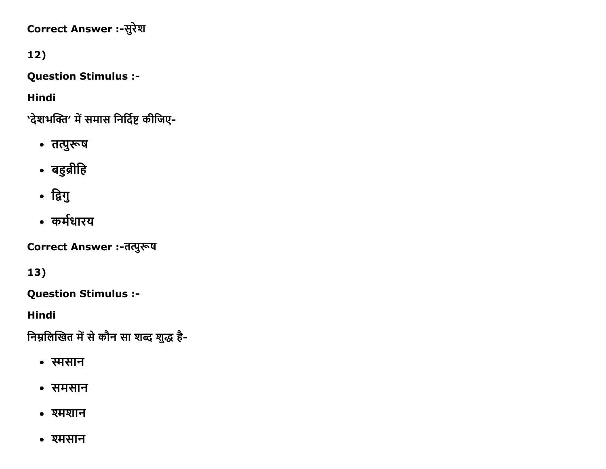# Correct Answer :-सुरेश

# $12)$

**Question Stimulus :-**

**Hindi** 

'देशभक्ति' में समास निर्दिष्ट कीजिए-

- तत्पुरूष
- बहुब्रीहि
- द्विगु
- कर्मधारय

Correct Answer :-तत्पुरूष

13)

**Question Stimulus :-**

**Hindi** 

निम्नलिखित में से कौन सा शब्द शुद्ध है-

- स्मसान
- समसान
- श्मशान
- श्मसान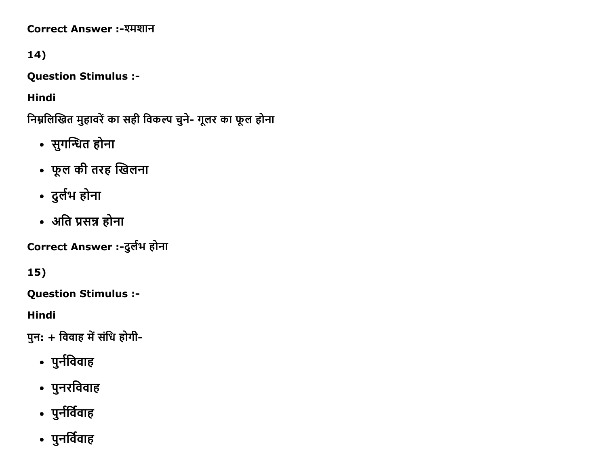Correct Answer :-श्मशान

# 14)

**Question Stimulus :-**

**Hindi** 

निम्नलिखित मुहावरें का सही विकल्प चुने- गूलर का फूल होना

- सुगन्धित होना
- फूल की तरह खिलना
- दुर्लभ होना
- अति प्रसन्न होना

Correct Answer :-दुर्लभ होना

15)

**Question Stimulus :-**

**Hindi** 

पुन: + विवाह में संधि होगी-

- पुर्नविवाह
- पुनरविवाह
- पुर्नर्विवाह
- पुनर्विवाह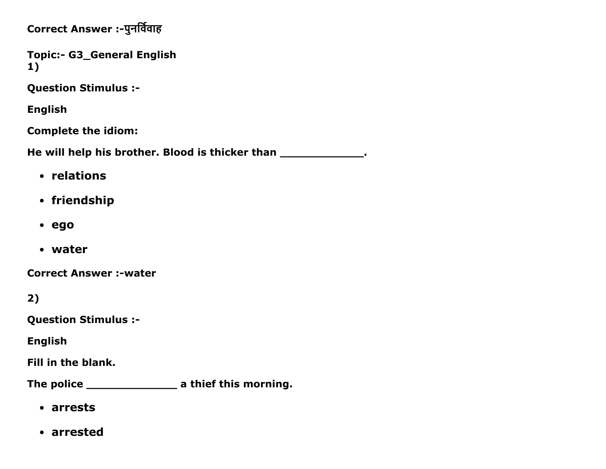Correct Answer :- पुनर्विवाह

Topic:- G3\_General English 1)

Question Stimulus :

English

Complete the idiom:

He will help his brother. Blood is thicker than \_\_\_\_\_\_\_\_\_\_\_\_\_\_.

- relations
- friendship
- ego
- water

**Correct Answer :-water** 

2)

Question Stimulus :

English

Fill in the blank.

The police \_\_\_\_\_\_\_\_\_\_\_\_\_\_\_\_\_\_\_\_ a thief this morning.

- arrests
- arrested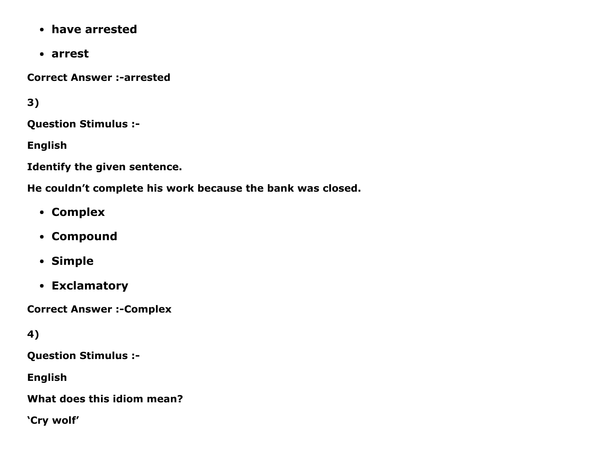- have arrested
- arrest

**Correct Answer :-arrested** 

3)

Question Stimulus :

English

Identify the given sentence.

He couldn't complete his work because the bank was closed.

- Complex
- Compound
- Simple
- Exclamatory

**Correct Answer :- Complex** 

4)

Question Stimulus :

English

What does this idiom mean?

'Cry wolf'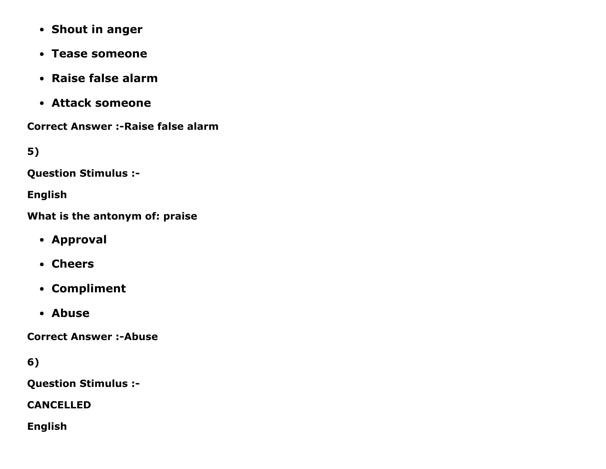- Shout in anger
- Tease someone
- Raise false alarm
- Attack someone

**Correct Answer :- Raise false alarm** 

5)

Question Stimulus :

English

What is the antonym of: praise

- Approval
- Cheers
- Compliment
- Abuse

**Correct Answer :- Abuse** 

6)

Question Stimulus :

CANCELLED

English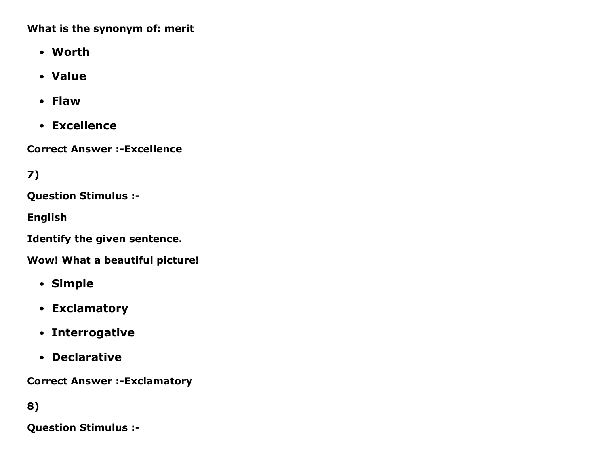What is the synonym of: merit

- Worth
- Value
- Flaw
- Excellence

**Correct Answer :-Excellence** 

7)

Question Stimulus :

English

Identify the given sentence.

Wow! What a beautiful picture!

- Simple
- Exclamatory
- Interrogative
- Declarative

**Correct Answer :-Exclamatory** 

8)

Question Stimulus :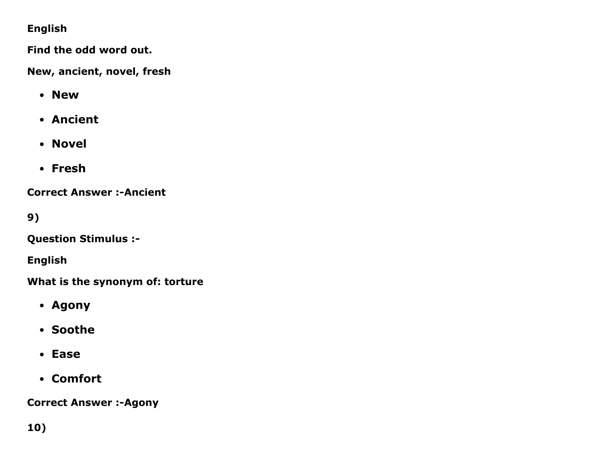#### English

Find the odd word out.

New, ancient, novel, fresh

- New
- Ancient
- Novel
- Fresh

**Correct Answer :- Ancient** 

9)

Question Stimulus :

English

What is the synonym of: torture

- Agony
- Soothe
- Ease
- Comfort

**Correct Answer :- Agony**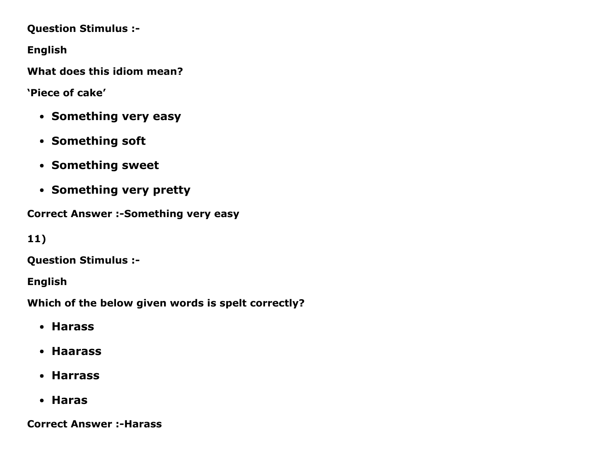Question Stimulus :

English

What does this idiom mean?

'Piece of cake'

- Something very easy
- Something soft
- Something sweet
- Something very pretty

Correct Answer :- Something very easy

11)

Question Stimulus :

English

Which of the below given words is spelt correctly?

- Harass
- Haarass
- Harrass
- Haras

**Correct Answer :-Harass**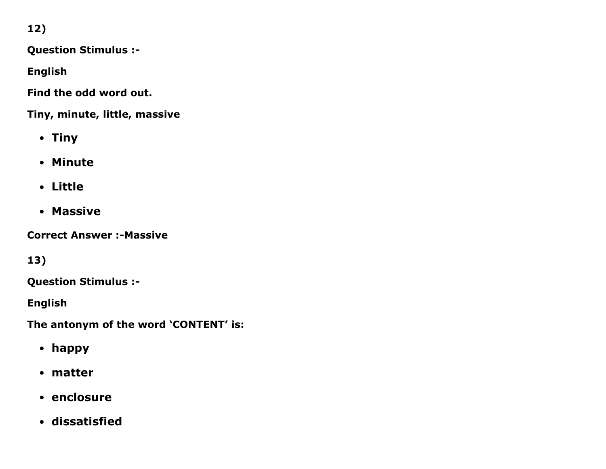12)

Question Stimulus :

English

Find the odd word out.

Tiny, minute, little, massive

- Tiny
- Minute
- Little
- Massive

**Correct Answer :- Massive** 

13)

Question Stimulus :

English

The antonym of the word 'CONTENT' is:

- happy
- matter
- enclosure
- dissatisfied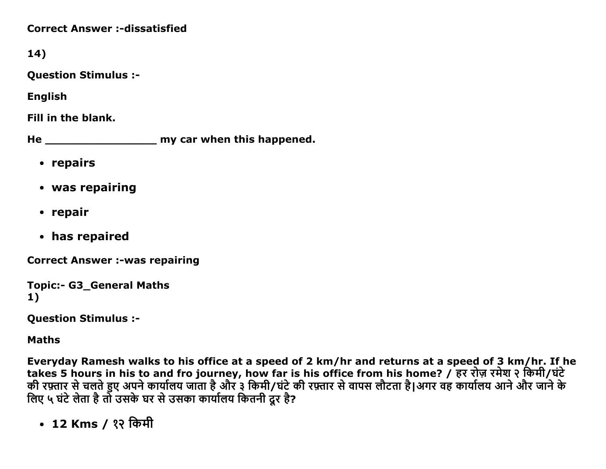**Correct Answer :-dissatisfied** 

14)

Question Stimulus :

English

Fill in the blank.

He \_\_\_\_\_\_\_\_\_\_\_\_\_\_\_\_ my car when this happened.

- repairs
- was repairing
- repair
- has repaired

**Correct Answer :-was repairing** 

```
Topic:- G3 General Maths
1)
```
Question Stimulus :

Maths

Everyday Ramesh walks to his office at a speed of 2 km/hr and returns at a speed of 3 km/hr. If he takes 5 hours in his to and fro journey, how far is his office from his home? / हर रोज़ रमेश २ किमी/घंटे की रफ़्तार से चलते हुए अपने कार्यालय जाता है और ३ किमी/घंटे की रफ़्तार से वापस लौटता है।अगर वह कार्यालय आने और जाने के लिए ५ घंटे लेता है तो उसके घर से उसका कार्यालय कितनी दूर है?

• 12 Kms / १२ किमी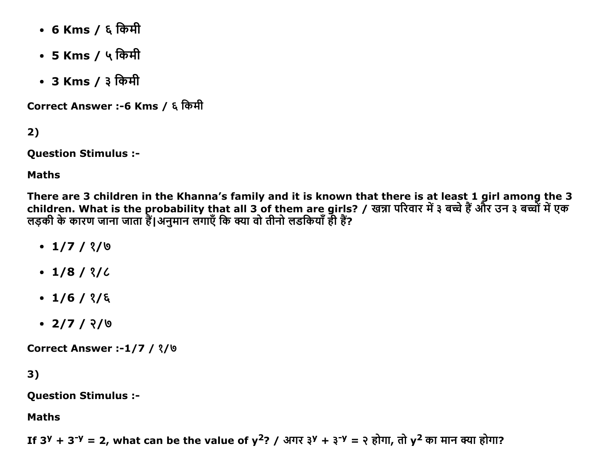- 6 Kms / ६ किमी
- 5 Kms / ५ किमी
- 3 Kms / ३ किमी

Correct Answer :-6 Kms / ६ किमी

 $2)$ 

**Question Stimulus :-**

**Maths** 

There are 3 children in the Khanna's family and it is known that there is at least 1 girl among the 3 children. What is the probability that all 3 of them are girls? / खन्ना परिवार में ३ बच्चे हैं और उन ३ बच्चों में एक लड़की के कारण जाना जाता हैं।अनुमान लगाएँ कि क्या वो तीनो लडकियाँ ही हैं?

- $\cdot$  1/7 / ?/0
- $\cdot$  1/8/ ?/  $\angle$
- $\cdot$  1/6/ ?/ &
- $\cdot$  2/7/ ?/ 0

**Correct Answer :-1/7 / 3/6** 

 $3)$ 

**Question Stimulus :-**

**Maths** 

If 3<sup>y</sup> + 3<sup>-y</sup> = 2, what can be the value of  $y^2$ ? / अगर ३<sup>y</sup> + ३<sup>-y</sup> = २ होगा, तो  $y^2$  का मान क्या होगा?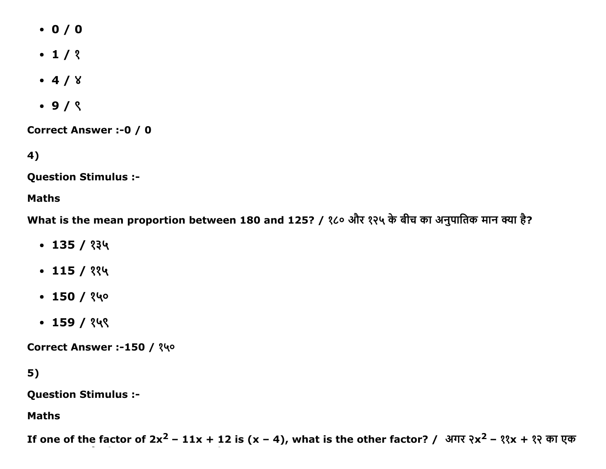- $0 / 0$
- $-1/3$
- $-4/8$
- $-9/$   $($

Correct Answer :-0 / 0

4)

Question Stimulus :

#### Maths

What is the mean proportion between 180 and 125? / १८० और १२५ के बीच का अनुपातिक मान क्या है?

- $\cdot$  135 / १३५
- $\cdot$  115 / ११५
- $-150/$  ?40
- $-159/$  ?49

Correct Answer :-150 / १५०

### 5)

Question Stimulus :

Maths

If one of the factor of 2x<sup>2</sup> – 11x + 12 is (x – 4), what is the other factor? / अगर २x<sup>2</sup> – ११x + १२ का एक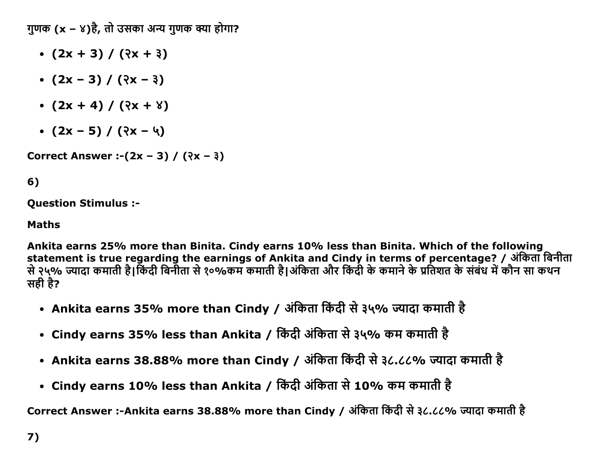गुणक  $(x - x)$ है, तो उसका अन्य गुणक क्या होगा?

- $\bullet$  (2x + 3) / ( $\sqrt{2x + 3}$ )
- $(2x 3) / (2x 3)$
- $(2x + 4) / (2x + 8)$
- $(2x 5) / (2x 4)$

Correct Answer :- $(2x - 3) / (2x - 3)$ 

## 6)

Question Stimulus :

#### Maths

Ankita earns 25% more than Binita. Cindy earns 10% less than Binita. Which of the following statement is true regarding the earnings of Ankita and Cindy in terms of percentage? / अंकिता बिनीता से २५% ज्यादा कमाती है।किंदी बिनीता से १०%कम कमाती है।अंकिता और किंदी के कमाने के प्रतिशत के संबंध में कौन सा कथन सही है?

- Ankita earns 35% more than Cindy / अंकिता किंदी से ३५% ज्यादा कमाती है
- Cindy earns 35% less than Ankita / किंदी अंकिता से ३५% कम कमाती है
- Ankita earns 38.88% more than Cindy / अंकिता किंदी से ३८.८८% ज्यादा कमाती है
- Cindy earns 10% less than Ankita / किंदी अंकिता से 10% कम कमाती है

Correct Answer :-Ankita earns 38.88% more than Cindy / अंकिता किंदी से ३८.८८% ज्यादा कमाती है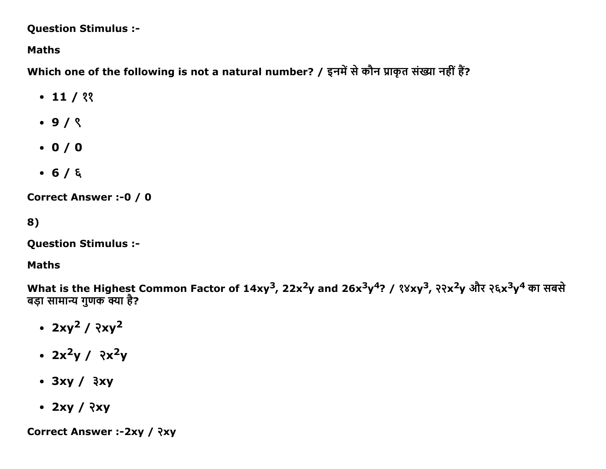**Question Stimulus :-**

**Maths** 

Which one of the following is not a natural number? / इनमें से कौन प्राकृत संख्या नहीं हैं?

- $\cdot$  11 / ??
- $\cdot$  9/ $\zeta$
- $\bullet$  0/0
- $-6/5$

**Correct Answer :- 0 / 0** 

8)

**Question Stimulus :-**

#### **Maths**

What is the Highest Common Factor of 14xy<sup>3</sup>, 22x<sup>2</sup>y and 26x<sup>3</sup>y<sup>4</sup>? / १४xy<sup>3</sup>, २२x<sup>2</sup>y और २६x<sup>3</sup>y<sup>4</sup> का सबसे बड़ा सामान्य गुणक क्या है?

- $2xy^2 / 2xy^2$
- $2x^2y / 2x^2y$
- $\cdot$  3xy /  $3xy$
- $\cdot$  2xy / ?xy

Correct Answer :- 2xy / ?xy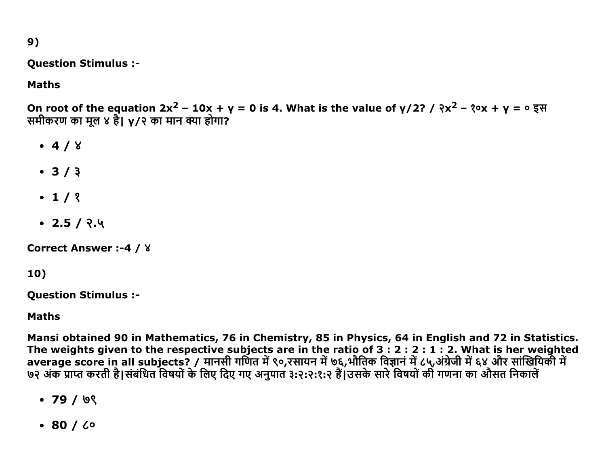$9)$ 

**Question Stimulus :-**

### **Maths**

On root of the equation  $2x^2 - 10x + y = 0$  is 4. What is the value of  $y/2$ ? /  $(x^2 - 30x + y = 0)$   $\xi$   $\xi$ समीकरण का मूल ४ है। y/२ का मान क्या होगा?

- $-4/8$
- $3/3$
- $-1/2$
- $\cdot$  2.5 / २.५

**Correct Answer :-4 / 8** 

### 10)

**Question Stimulus :-**

#### **Maths**

Mansi obtained 90 in Mathematics, 76 in Chemistry, 85 in Physics, 64 in English and 72 in Statistics. The weights given to the respective subjects are in the ratio of  $3:2:2:1:2$ . What is her weighted average score in all subjects? / मानसी गर्णित में ९०,रसायन में ७६,भौतिक विज्ञान में ८५,अंग्रेजी में ६४ और सांखियिकी में ७२ अंक प्राप्त करती है।संबंधित विषयों के लिए दिए गए अनुपात ३:२:२:१:२ हैं।उसके सारे विषयों की गणना का औसत निकाले

- $\cdot$  79 / 0९
- $\cdot$  80 /  $\zeta$ o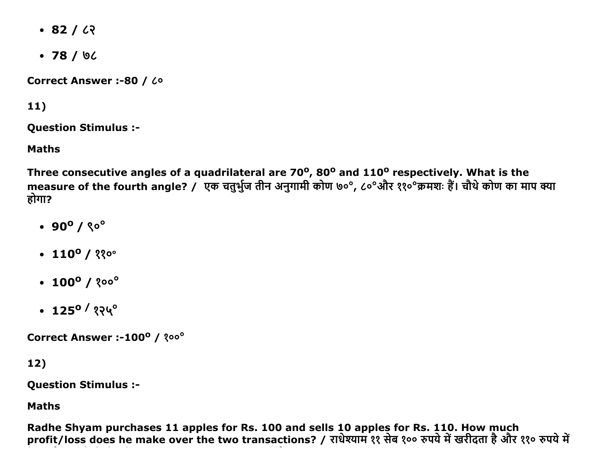- $-82/22$
- $-78/92$

Correct Answer :- 80 / Lo

### $11)$

**Question Stimulus :-**

**Maths** 

Three consecutive angles of a quadrilateral are 70°, 80° and 110° respectively. What is the measure of the fourth angle? / एक चतुर्भुज तीन अनुगामी कोण ७०°, ८०°और ११०°क्रमशः हैं। चौथे कोण का माप क्या होगा?

- $\cdot$  90<sup>o</sup> /  $\sqrt[6]{\circ}$
- $\cdot$  110<sup>o</sup> / ११०°
- $\cdot$  100<sup>o</sup> / 200<sup>o</sup>
- $\cdot$  125<sup>o</sup>/ १२५°

Correct Answer :-100° / ?00°

12)

**Question Stimulus :-**

**Maths** 

Radhe Shyam purchases 11 apples for Rs. 100 and sells 10 apples for Rs. 110. How much profit/loss does he make over the two transactions? / राधेश्याम ११ सेब १०० रुपये में खरीदता है और ११० रुपये मे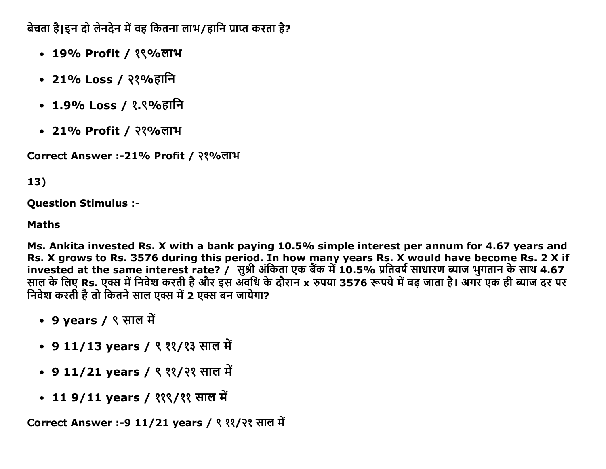बेचता है।इन दो लेनदेन में वह कितना लाभ/हानि प्राप्त करता है?

- 19% Profit / १९%लाभ
- 21% Loss / २१%हानि
- 1.9% Loss / १.९%हानि
- 21% Profit / २१%लाभ

Correct Answer :-21% Profit / २१%लाभ

#### 13)

**Question Stimulus :-**

#### **Maths**

Ms. Ankita invested Rs. X with a bank paying 10.5% simple interest per annum for 4.67 years and Rs. X grows to Rs. 3576 during this period. In how many years Rs. X would have become Rs. 2 X if invested at the same interest rate? / सुश्री अंकिता एक बैंक में 10.5% प्रतिवर्ष साधारण ब्याज भुगतान के साथ 4.67 साल के लिए Rs. एक्स में निवेश करती है और इस अवधि के दौरान x रुपया 3576 रूपये में बढ़ जाता है। अगर एक ही ब्याज दर पर निवेश करती है तो कितने साल एक्स में 2 एक्स बन जायेगा?

- 9 years / ९ साल में
- 9 11/13 years / ९ ११/१३ साल में
- 9 11/21 years / ९ ११/२१ साल में
- 11 9/11 years / ११९/११ साल में

Correct Answer :-9 11/21 years / ९ ११/२१ साल में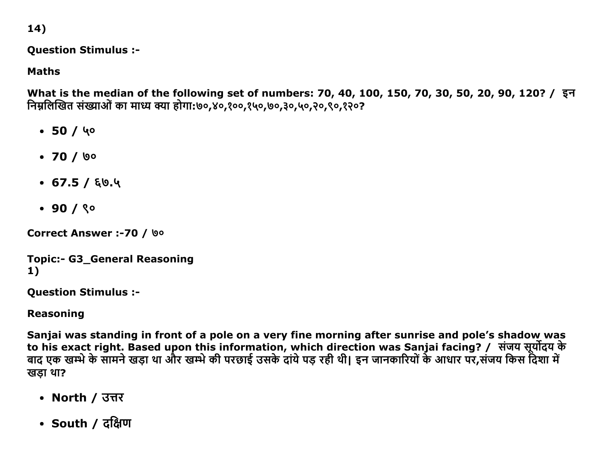14)

**Question Stimulus :-**

**Maths** 

What is the median of the following set of numbers: 70, 40, 100, 150, 70, 30, 50, 20, 90, 120? / इन निम्नलिखित संख्याओं का माध्य क्या होगा:७०,४०,१००,१५०,७०,३०,५०,२०,९०,१२०?

- $\cdot$  50 / 40
- $\cdot$  70 / ७०
- $\cdot$  67.5 / EQ.4
- $.90/80$

Correct Answer :- 70 / Vo

```
Topic:- G3_General Reasoning
1)
```
**Question Stimulus :-**

**Reasoning** 

Sanjai was standing in front of a pole on a very fine morning after sunrise and pole's shadow was to his exact right. Based upon this information, which direction was Sanjai facing? / संजय सूर्योदय के<br>बाद एक खम्भे के सामने खड़ा था और खम्भे की परछाई उसके दांये पड़ रही थी। इन जानकारियों के आधार पर,संजय किस दिशा मे खडा था?

- North / उत्तर
- South / दक्षिण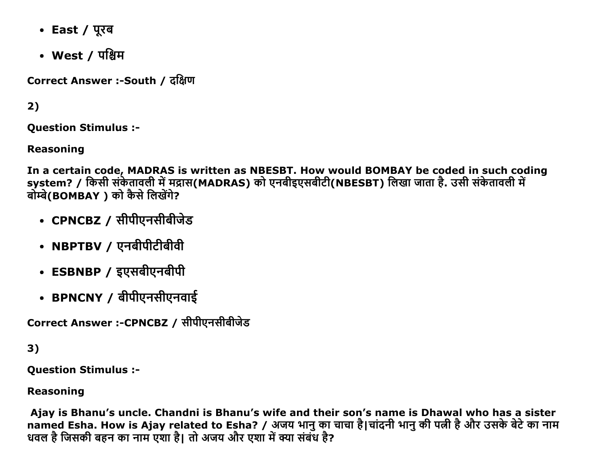- East / पूरब
- West / पश्चिम

Correct Answer :-South / दक्षिण

 $2)$ 

**Ouestion Stimulus :-**

**Reasoning** 

In a certain code, MADRAS is written as NBESBT. How would BOMBAY be coded in such coding system? / किसी संकेतावली में मद्रास(MADRAS) को एनबीइएसबीटी(NBESBT) लिखा जाता है. उसी संकेतावली में बोम्बे(BOMBAY) को कैसे लिखेंगे?

- CPNCBZ / सीपीएनसीबीजेड
- NBPTBV / एनबीपीटीबीवी
- ESBNBP / इएसबीएनबीपी
- BPNCNY / बीपीएनसीएनवाई

Correct Answer :-CPNCBZ / सीपीएनसीबीजेड

 $3)$ 

**Ouestion Stimulus :-**

**Reasoning** 

Ajay is Bhanu's uncle. Chandni is Bhanu's wife and their son's name is Dhawal who has a sister named Esha. How is Ajay related to Esha? / अजय भानु का चाचा है।चांदनी भानु की पत्नी है और उसके बेटे का नाम धवल है जिसकी बहन का नाम एशा है। तो अजय और एशा में क्या संबंध है?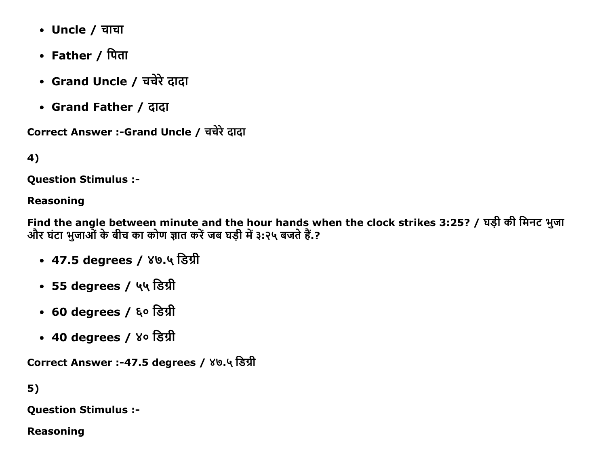- Uncle / चाचा
- Father / पिता
- Grand Uncle / चचेरे दादा
- Grand Father / ĉĭĉĭ

```
Correct Answer :-Grand Uncle / चचेरे दादा
```
4)

Question Stimulus :

#### Reasoning

Find the angle between minute and the hour hands when the clock strikes 3:25? / घड़ी की मिनट भुजा और घंटा भुजाओं के बीच का कोण ज्ञात करें जब घड़ी में ३:२५ बजते हैं.?

- 47.5 degrees / ४७.५ डिग्री
- 55 degrees / ५५ डिग्री
- 60 degrees / ६० डिग्री
- 40 degrees / ४० डिग्री

Correct Answer :-47.5 degrees / ४७.५ डिग्री

5)

Question Stimulus :

Reasoning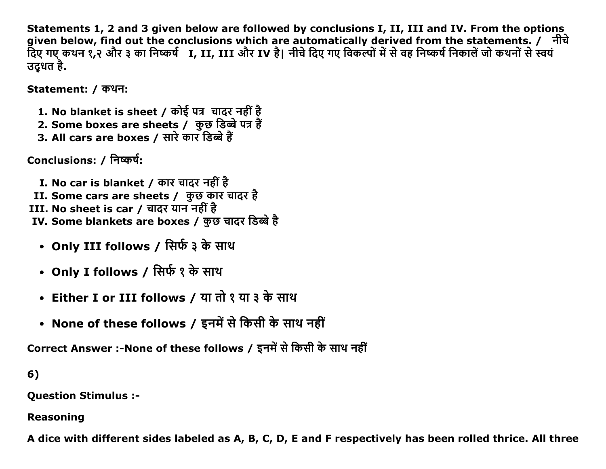Statements 1, 2 and 3 given below are followed by conclusions I, II, III and IV. From the options given below, find out the conclusions which are automatically derived from the statements. / नीचे दिए गए कथन १,२ और ३ का निष्कर्ष I, II, III और IV है। नीचे दिए गए विकल्पों में से वह निष्कर्ष निकालें जो कथनों से स्वयं उदूधत है.

Statement: / कथन:

- 1. No blanket is sheet / कोई पत्र चादर नहीं है
- 2. Some boxes are sheets / कुछ डिब्बे पत्र हैं
- 3. All cars are boxes / सारे कार डिब्बे हैं

Conclusions: / निष्कर्ष:

- I. No car is blanket / कार चादर नहीं है II. Some cars are sheets / कुछ कार चादर है III. No sheet is car / चादर यान नहीं है IV. Some blankets are boxes / कुछ चादर डिब्बे है
	- Only III follows / सिर्फ ३ के साथ
	- Only I follows / सिर्फ १ के साथ
	- Either I or III follows / या तो १ या ३ के साथ
	- None of these follows / इनमें से किसी के साथ नहीं

Correct Answer :-None of these follows / इनमें से किसी के साथ नहीं

 $6)$ 

**Question Stimulus :-**

#### **Reasoning**

A dice with different sides labeled as A, B, C, D, E and F respectively has been rolled thrice. All three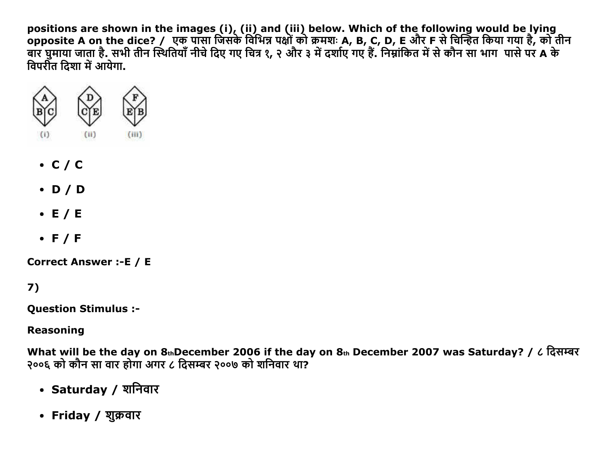positions are shown in the images (i), (ii) and (iii) below. Which of the following would be lying<br>opposite A on the dice? / एक पासा जिसके विभिन्न पक्षों को क्रमशः A, B, C, D, E और F से चिन्हित किया गया है, को तीन<br>बार घु विपरीत दिशा में आयेगा.



- $\cdot$  C/C
- $\bullet$  D/D
- $\bullet$  E / E
- $\bullet$  F/F

**Correct Answer :- E / E** 

 $7)$ 

**Question Stimulus :-**

**Reasoning** 

What will be the day on  $8_{th}$ December 2006 if the day on  $8_{th}$  December 2007 was Saturday? / ८ दिसम्बर २००६ को कौन सा वार होगा अगर ८ दिसम्बर २००७ को शनिवार था?

- Saturday / शनिवार
- Friday / शुक्रवार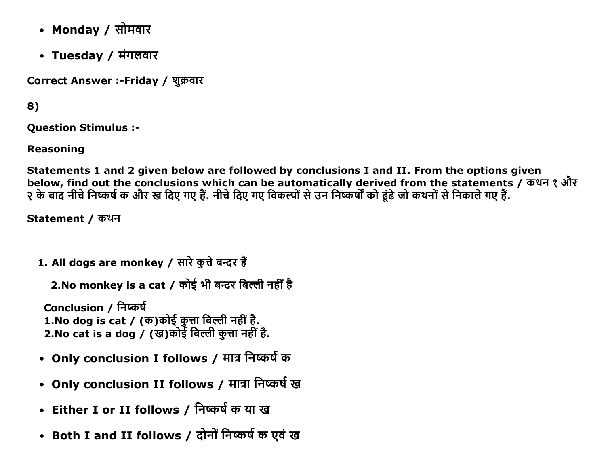- Mondav / सोमवार
- Tuesday / मंगलवार

Correct Answer :-Friday / शुक्रवार

8)

Question Stimulus :

Reasoning

Statements 1 and 2 given below are followed by conclusions I and II. From the options given below, find out the conclusions which can be automatically derived from the statements / कथन १ और ͙ कĸ ďĭĉ ċıचĸĮċĀĜŊक औē ख Įĉए गए Ğœ. ċıचĸĮĉए गए ĮęकĀļŃĝĸउċ ĮċĀĜŘ कļ ąijŃąĸजļ कĈċļŃĝĸĮċकĭलĸगए Ğœ.

Statement / कथन

1. All dogs are monkey / सारे कुत्ते बन्दर हैं

2.No monkey is a cat / कोई भी बन्दर बिल्ली नहीं है

Conclusion / निष्कर्ष 1.No dog is cat / (क)कोई कुत्ता बिल्ली नहीं है. 2.No cat is a dog / (ख)कोई बिल्ली कत्ता नहीं है.

- Only conclusion I follows / मात्र निष्कर्ष क
- Only conclusion II follows / मात्रा निष्कर्ष ख
- Either I or II follows / निष्कर्ष क या ख
- Both I and II follows / दोनों निष्कर्ष क एवं ख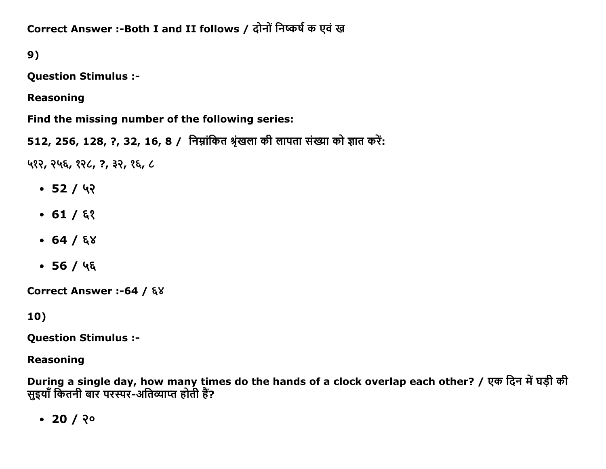Correct Answer :- Both I and II follows / दोनों निष्कर्ष क एवं ख

 $9)$ 

**Question Stimulus :-**

**Reasoning** 

Find the missing number of the following series:

512, 256, 128, ?, 32, 16, 8 / निम्नांकित श्रृंखला की लापता संख्या को ज्ञात करें:

५१२, २५६, १२८, ?, ३२, १६, ८

- $-52/42$
- $-61/53$
- $-64/68$
- $-56/46$

Correct Answer :-64 / ६४

10)

**Question Stimulus :-**

**Reasoning** 

During a single day, how many times do the hands of a clock overlap each other? / एक दिन में घड़ी की सुइयाँ कितनी बार परस्पर-अतिव्याप्त होती हैं?

 $\cdot$  20 / २०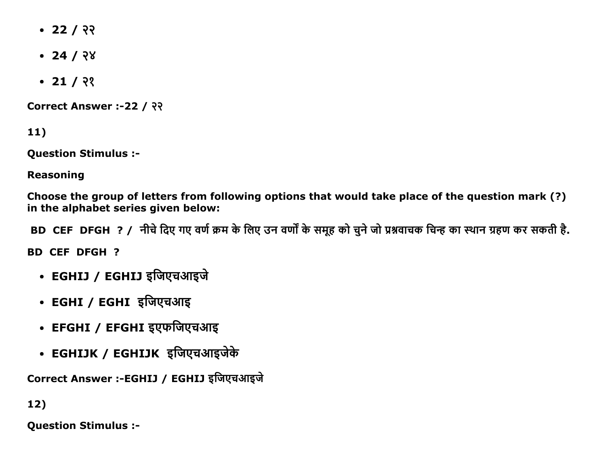- $-22/33$
- $-24/28$
- $-21/2$

Correct Answer :-22 / २२

11)

Question Stimulus :

Reasoning

Choose the group of letters from following options that would take place of the question mark (?) in the alphabet series given below:

BD CEF DFGH ? / नीचे दिए गए वर्ण क्रम के लिए उन वर्णों के समह को चने जो प्रश्नवाचक चिन्ह का स्थान ग्रहण कर सकती है.

BD CEF DFGH ?

- EGHIJ / EGHIJ इजिएचआइजे
- EGHI / EGHI इजिएचआइ
- EFGHI / EFGHI इएफजिएचआइ
- EGHIJK / EGHIJK इजिएचआइजेके

Correct Answer :-EGHIJ / EGHIJ इजिएचआइजे

12)

Question Stimulus :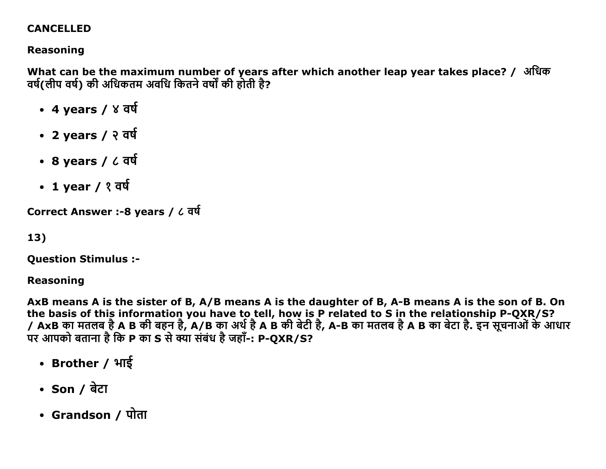#### **CANCELLED**

## **Reasoning**

What can be the maximum number of years after which another leap year takes place? / अधिक वर्ष(लीप वर्ष) की अधिकतम अवधि कितने वर्षों की होती है?

- 4 years / ४ वर्ष
- 2 years / २ वर्ष
- $\cdot$  8 years /  $\angle$  वर्ष
- 1 year /  $\sqrt{3}$  वर्ष

Correct Answer :-8 years / ८ वर्ष

```
13)
```
**Question Stimulus :-**

**Reasoning** 

AxB means A is the sister of B, A/B means A is the daughter of B, A-B means A is the son of B. On the basis of this information you have to tell, how is P related to S in the relationship P-QXR/S? / AxB का मतलब है A B की बहन है, A/B का अर्थ है A B की बेटी है, A-B का मतलब है A B का बेटा है. इन सूचनाओं के आधार पर आपको बताना है कि P का S से क्या संबंध है जहाँ-: P-QXR/S?

- Brother / भाई
- Son / बेटा
- Grandson / पोता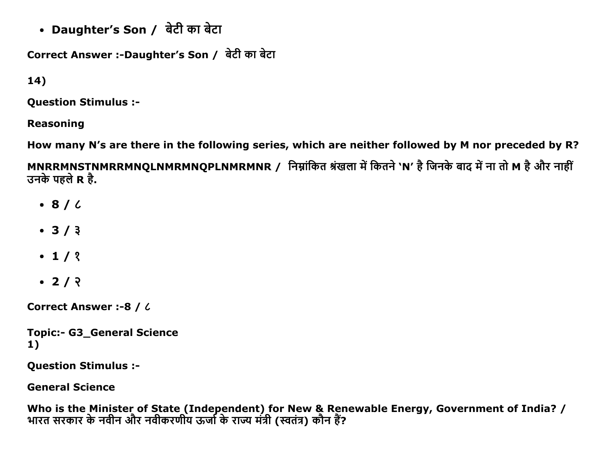• Daughter's Son / बेटी का बेटा

Correct Answer :-Daughter's Son / बेटी का बेटा

 $14)$ 

**Question Stimulus :-**

**Reasoning** 

How many N's are there in the following series, which are neither followed by M nor preceded by R?

MNRRMNSTNMRRMNQLNMRMNQPLNMRMNR / निम्नांकित श्रंखला में कितने 'N' है जिनके बाद में ना तो M है और नाहीं उनके पहले R है.

- $\bullet$  8/ $\prime$
- $3/3$
- $\cdot$  1/ ?
- $\cdot$  2/  $\sqrt{2}$

**Correct Answer :- 8 / 6** 

**Topic:- G3 General Science**  $1)$ 

**Question Stimulus :-**

**General Science** 

Who is the Minister of State (Independent) for New & Renewable Energy, Government of India? /<br>भारत सरकार के नवीन और नवीकरणीय ऊर्जा के राज्य मंत्री (स्वतंत्र) कौन हैं?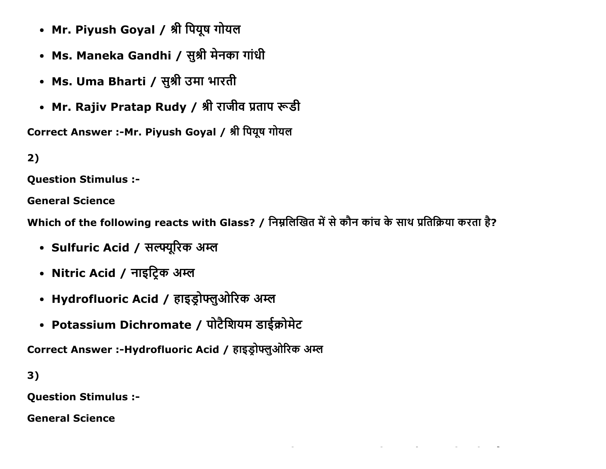- Mr. Piyush Goyal / श्री पियूष गोयल
- Ms. Maneka Gandhi / सुश्री मेनका गांधी
- Ms. Uma Bharti / सुश्री उमा भारती
- Mr. Rajiv Pratap Rudy / श्री राजीव प्रताप रूडी

Correct Answer :-Mr. Piyush Goyal / श्री पियूष गोयल

# $2)$

**Ouestion Stimulus :-**

**General Science** 

Which of the following reacts with Glass? / निम्नलिखित में से कौन कांच के साथ प्रतिक्रिया करता है?

- Sulfuric Acid / सल्फ्यूरिक अम्ल
- Nitric Acid / नाइट्रिक अम्ल
- Hydrofluoric Acid / हाइड्रोफ्लुओरिक अम्ल
- Potassium Dichromate / पोटैशियम डाईक्रोमेट

Correct Answer :-Hydrofluoric Acid / हाइड़ोफ्लुओरिक अम्ल

 $3)$ 

**Question Stimulus :-**

**General Science**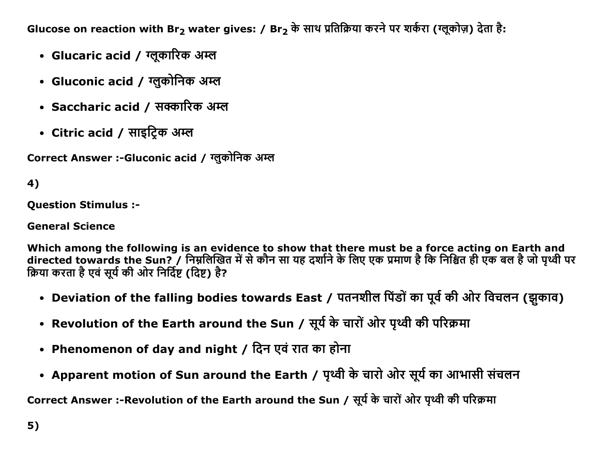Glucose on reaction with Br<sub>2</sub> water gives: / Br<sub>2</sub> के साथ प्रतिक्रिया करने पर शर्करा (ग्लूकोज़) देता है:

- Glucaric acid / ग्लूकारिक अम्ल
- Gluconic acid / ग्लुकोनिक अम्ल
- Saccharic acid / सक्कारिक अम्ल
- Citric acid / साइट्रिक अम्ल

Correct Answer :-Gluconic acid / ग्लुकोनिक अम्ल

# 4)

**Ouestion Stimulus :-**

**General Science** 

Which among the following is an evidence to show that there must be a force acting on Earth and directed towards the Sun? / निम्नलिखित में से कौन सा यह दर्शाने के लिए एक प्रमाण है कि निश्चित ही एक बल है जो पृथ्वी पर क्रिया करता है एवं सूर्य की ओर निर्दिष्ट (दिष्ट) है?

- Deviation of the falling bodies towards East / पतनशील पिंडों का पूर्व की ओर विचलन (झुकाव)
- Revolution of the Earth around the Sun / सूर्य के चारों ओर पृथ्वी की परिक्रमा
- Phenomenon of day and night / दिन एवं रात का होना
- Apparent motion of Sun around the Earth / पृथ्वी के चारो ओर सूर्य का आभासी संचलन

Correct Answer :-Revolution of the Earth around the Sun / सूर्य के चारों ओर पृथ्वी की परिक्रमा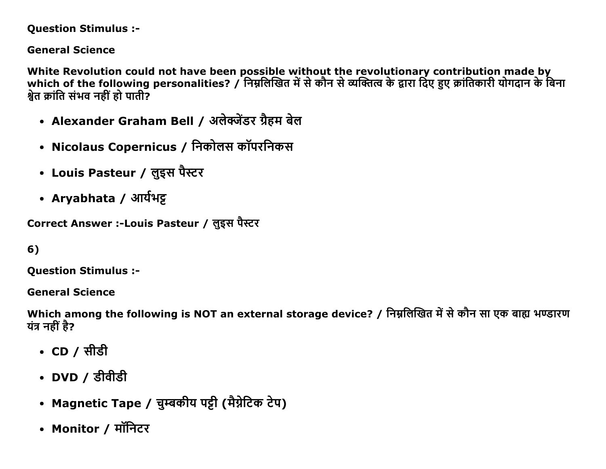#### **Question Stimulus :-**

#### **General Science**

White Revolution could not have been possible without the revolutionary contribution made by which of the following personalities? / निम्नलिखित में से कौन से व्यक्तित्व के द्वारा दिए हुए क्रांतिकारी योगदान के बिना श्वेत क्रांति संभव नहीं हो पाती?

- Alexander Graham Bell / अलेक्जेंडर ग्रैहम बेल
- Nicolaus Copernicus / निकोलस कॉपरनिकस
- Louis Pasteur / लुइस पैस्टर
- Aryabhata / आर्यभट्ट

Correct Answer :-Louis Pasteur / लुइस पैस्टर

```
6)
```
**Ouestion Stimulus :-**

**General Science** 

Which among the following is NOT an external storage device? / निम्नलिखित में से कौन सा एक बाह्य भण्डारण यंत्र नहीं है?

- CD / सीडी
- DVD / डीवीडी
- Magnetic Tape / चुम्बकीय पट्टी (मैग्नेटिक टेप)
- Monitor / मॉनिटर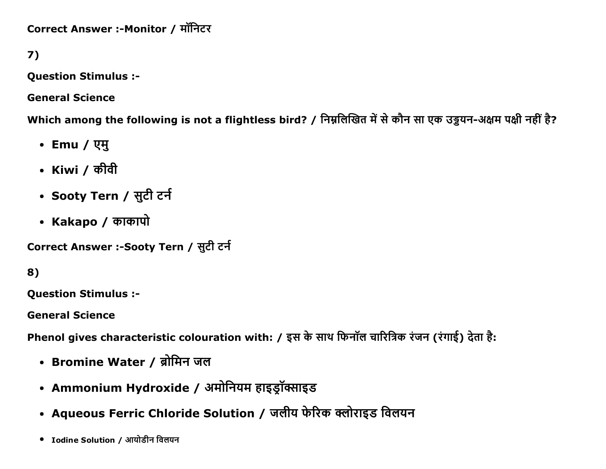Correct Answer :-Monitor / मॉनिटर

7)

**Question Stimulus :-**

**General Science** 

Which among the following is not a flightless bird? / निम्नलिखित में से कौन सा एक उड़ुयन-अक्षम पक्षी नहीं है?

- Emu / एमु
- Kiwi / कीवी
- Sooty Tern / सुटी टर्न
- Kakapo / काकापो

Correct Answer :-Sooty Tern / सुटी टर्न

8)

**Question Stimulus :-**

**General Science** 

Phenol gives characteristic colouration with: / इस के साथ फिनॉल चारित्रिक रंजन (रंगाई) देता है:

- Bromine Water / ब्रोमिन जल
- Ammonium Hydroxide / अमोनियम हाइड्रॉक्साइड
- Aqueous Ferric Chloride Solution / जलीय फेरिक क्लोराइड विलयन
- Iodine Solution / आयोडीन विलयन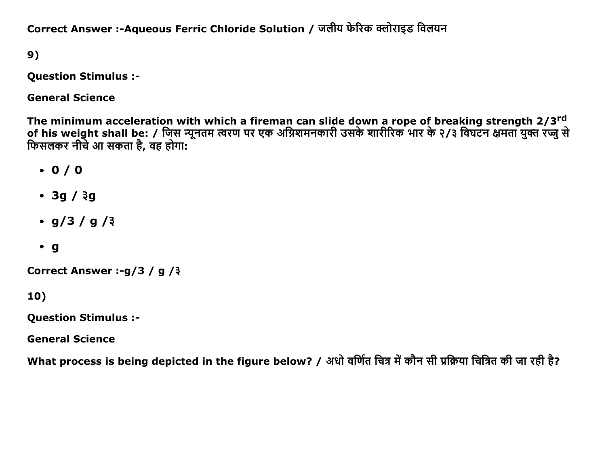Correct Answer :-Aqueous Ferric Chloride Solution / जलीय फेरिक क्लोराइड विलयन

9)

**Question Stimulus :-**

**General Science** 

The minimum acceleration with which a fireman can slide down a rope of breaking strength 2/3<sup>rd</sup><br>of his weight shall be: / जिस न्यूनतम त्वरण पर एक अग्निशमनकारी उसके शारीरिक भार के २/३ विघटन क्षमता युक्त रज्जु से फिसलकर नीचे आ सकता है, वह होगा:

- $\cdot$  0/0
- $\cdot$  3g /  $3g$
- $q/3 / q/3$
- $\cdot$  g

Correct Answer :- g/3 / g /3

 $10)$ 

**Question Stimulus :-**

**General Science** 

What process is being depicted in the figure below? / अधो वर्णित चित्र में कौन सी प्रक्रिया चित्रित की जा रही है?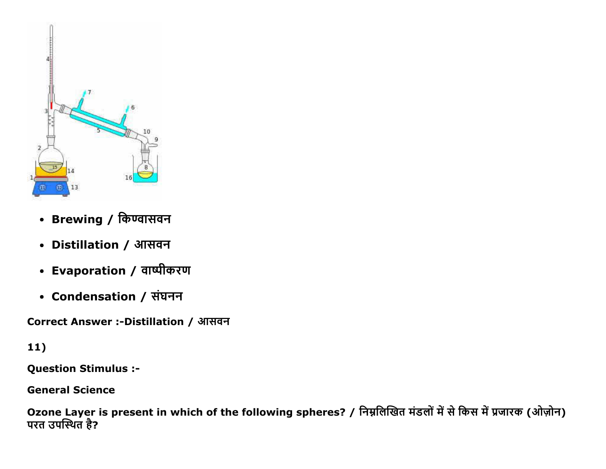

- Brewing / किण्वासवन
- Distillation / आसवन
- Evaporation / वाष्पीकरण
- Condensation / संघनन

Correct Answer :-Distillation / आसवन

## $11)$

**Question Stimulus :-**

**General Science** 

Ozone Layer is present in which of the following spheres? / निम्नलिखित मंडलों में से किस में प्रजारक (ओज़ोन)<br>परत उपस्थित है?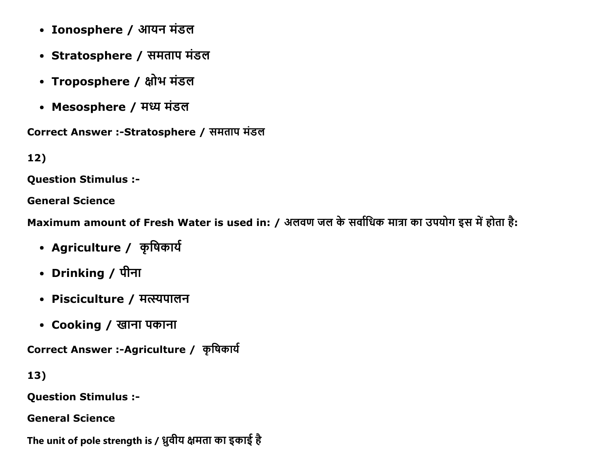- Ionosphere / आयन मंडल
- Stratosphere / समताप मंडल
- Troposphere / क्षोभ मंडल
- Mesosphere / मध्य मंडल

Correct Answer :-Stratosphere / समताप मंडल

 $12)$ 

**Ouestion Stimulus :-**

**General Science** 

Maximum amount of Fresh Water is used in: / अलवण जल के सर्वाधिक मात्रा का उपयोग इस में होता है:

- Agriculture / कृषिकार्य
- Drinking / पीना
- Pisciculture / मत्स्यपालन
- Cooking / खाना पकाना

Correct Answer :-Agriculture / कृषिकार्य

13)

**Question Stimulus :-**

**General Science** 

The unit of pole strength is / ध्रुवीय क्षमता का इकाई है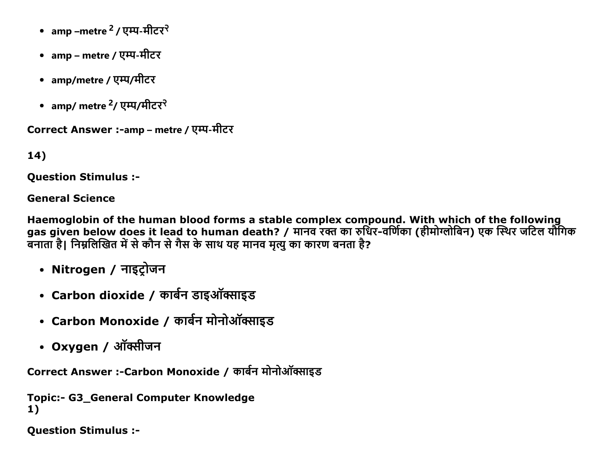- amp –metre <sup>2</sup> / एम्प-मीटर<sup>२</sup>
- amp metre / एम्प-मीटर
- amp/metre / एम्प/मीटर
- amp/ metre <sup>2</sup>/ एम्प/मीटर<sup>२</sup>

Correct Answer :-amp – metre / एम्प-मीटर

14)

**Ouestion Stimulus :-**

**General Science** 

Haemoglobin of the human blood forms a stable complex compound. With which of the following gas given below does it lead to human death? / मानव रक्त का रुधिर-वर्णिका (हीमोग्लोबिन) एक स्थिर जटिल यौगिक बनाता है। निम्नलिखित में से कौन से गैस के साथ यह मानव मृत्यु का कारण बनता है?

- Nitrogen / नाइट्रोजन
- Carbon dioxide / कार्बन डाइऑक्साइड
- Carbon Monoxide / कार्बन मोनोऑक्साइड
- Oxygen / ऑक्सीजन

Correct Answer :-Carbon Monoxide / कार्बन मोनोऑक्साइड

```
Topic:- G3 General Computer Knowledge
1)
```
**Question Stimulus :-**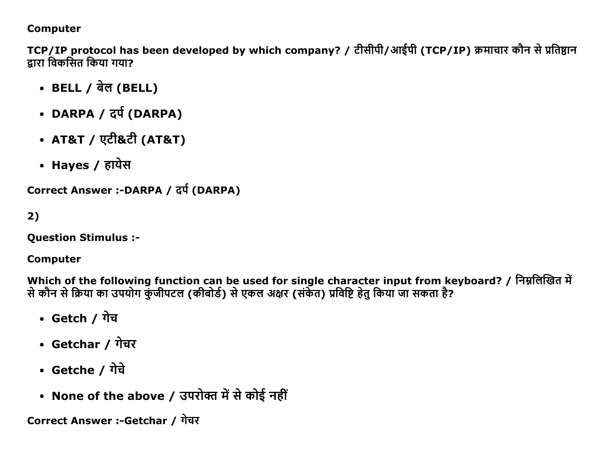#### **Computer**

TCP/IP protocol has been developed by which company? / टीसीपी/आईपी (TCP/IP) क्रमाचार कौन से प्रतिष्ठान द्रारा विकसित किया गया?

- BELL / बेल (BELL)
- DARPA / दर्प (DARPA)
- AT&T / एटी&टी (AT&T)
- Hayes / हायेस

Correct Answer :-DARPA / दर्प (DARPA)

```
2)
```
**Ouestion Stimulus :-**

## **Computer**

Which of the following function can be used for single character input from keyboard? / निम्नलिखित में से कौन से क्रिया का उपयोग कुंजीपटल (कीबोर्ड) से एकल अक्षर (संकेत) प्रविष्टि हेतु किया जा सकता है?

- Getch / गेच
- Getchar / गेचर
- Getche / गेचे
- None of the above / उपरोक्त में से कोई नहीं

Correct Answer :-Getchar / गेचर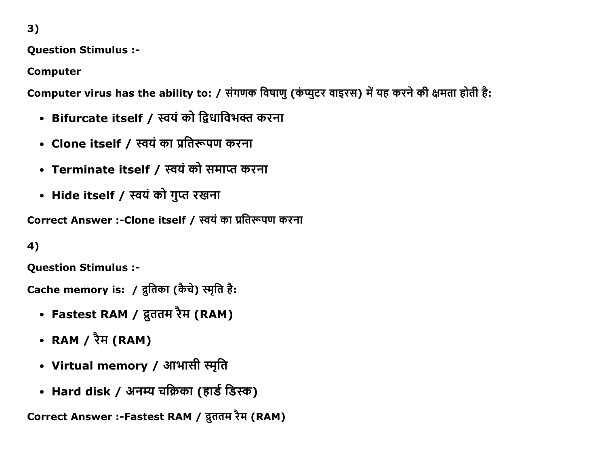**Question Stimulus :-**

**Computer** 

Computer virus has the ability to: / संगणक विषाणु (कंप्युटर वाइरस) में यह करने की क्षमता होती है:

- Bifurcate itself / स्वयं को द्विधाविभक्त करना
- Clone itself / स्वयं का प्रतिरूपण करना
- Terminate itself / स्वयं को समाप्त करना
- Hide itself / स्वयं को गुप्त रखना

Correct Answer :- Clone itself / स्वयं का प्रतिरूपण करना

4)

**Question Stimulus :-**

Cache memory is: / दुतिका (कैचे) स्मृति है:

- Fastest RAM / द्रुततम रैम (RAM)
- RAM /  $\overline{X}$ <sup>H</sup> (RAM)
- Virtual memory / आभासी स्मृति
- Hard disk / अनम्य चक्रिका (हार्ड डिस्क)

Correct Answer :-Fastest RAM / द्रुततम रैम (RAM)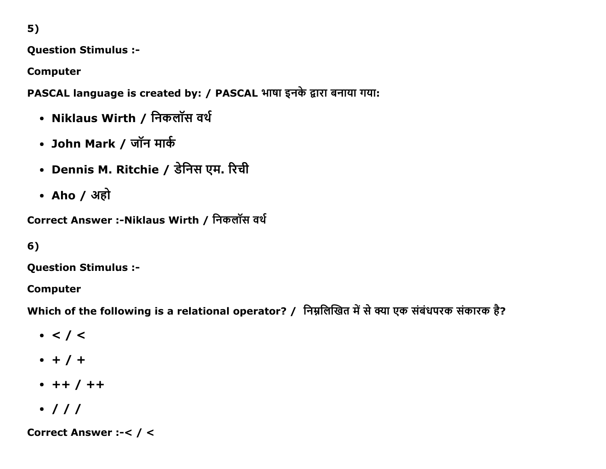**Question Stimulus :-**

**Computer** 

PASCAL language is created by: / PASCAL भाषा इनके द्वारा बनाया गया:

- Niklaus Wirth / निकलॉस वर्थ
- John Mark / जॉन मार्क
- Dennis M. Ritchie / डेनिस एम. रिची
- Aho / अहो

```
Correct Answer :- Niklaus Wirth / निकलॉस वर्थ
```
## $6)$

**Question Stimulus :-**

**Computer** 

Which of the following is a relational operator? / निम्नलिखित में से क्या एक संबंधपरक संकारक है?

- $\bullet$  < / <
- $+ 1 +$
- $+ + / + +$
- $\cdot$  / / /

Correct Answer :-< / <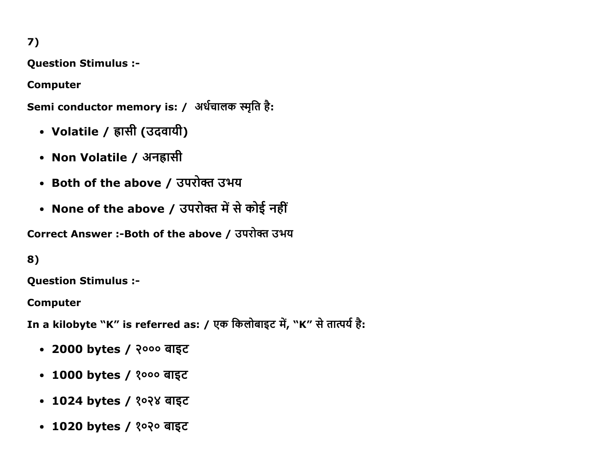Question Stimulus :

Computer

Semi conductor memory is: / अर्धचालक स्मृति है:

- Volatile / ह्रासी (उदवायी)
- Non Volatile / अनहासी
- Both of the above / उपरोक्त उभय
- None of the above / उपरोक्त में से कोई नहीं

Correct Answer :- Both of the above / उपरोक्त उभय

#### 8)

Question Stimulus :

Computer

In a kilobyte "K" is referred as: / एक किलोबाइट में, "K" से तात्पर्य है:

- 2000 bytes / २००० बाइट
- 1000 bytes / १००० बाइट
- 1024 bytes / १०२४ बाइट
- 1020 bytes / १०२० बाइट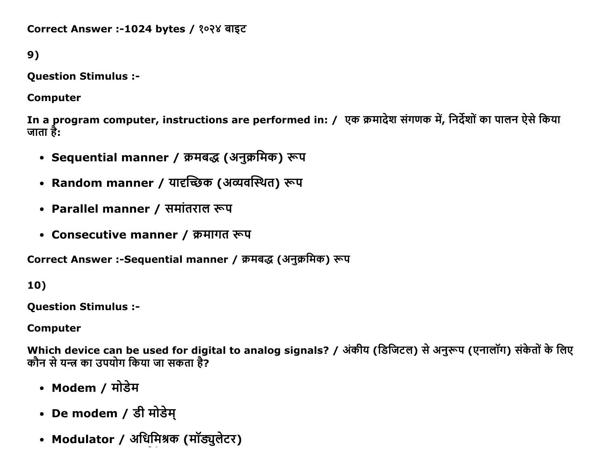```
Correct Answer :-1024 bytes / १०२४ बाइट
```

```
9)
```
Question Stimulus :

Computer

In a program computer, instructions are performed in: / एक क्रमादेश संगणक में, निर्देशों का पालन ऐसे किया जाता है:

- Sequential manner / क्रमबद्ध (अनुक्रमिक) रूप
- Random manner / यादृच्छिक (अव्यवस्थित) रूप
- Parallel manner / समांतराल रूप
- Consecutive manner / क्रमागत रूप

Correct Answer :-Sequential manner / क्रमबद्ध (अनुक्रमिक) रूप

10)

Question Stimulus :

Computer

Which device can be used for digital to analog signals? / अंकीय (डिजिटल) से अनुरूप (एनालॉग) संकेतों के लिए कौन से यन्त्र का उपयोग किया जा सकता है?

- Modem / मोडेम
- De modem / डी मोडेम्
- Modulator / अधिमिश्रक (मॉड्युलेटर)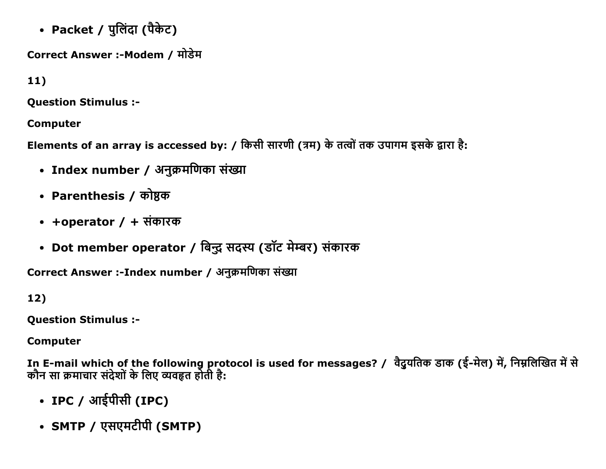• Packet / पुलिंदा (पैकेट)

Correct Answer :-Modem / मोडेम

 $11)$ 

**Question Stimulus :-**

**Computer** 

Elements of an array is accessed by: / किसी सारणी (त्रम) के तत्वों तक उपागम इसके द्वारा है:

- Index number / अनुक्रमणिका संख्या
- Parenthesis / कोष्ठक
- +operator / + संकारक
- Dot member operator / बिन्दु सदस्य (डॉट मेम्बर) संकारक

Correct Answer :-Index number / अनुक्रमणिका संख्या

 $12)$ 

**Question Stimulus :-**

**Computer** 

In E-mail which of the following protocol is used for messages? / वैदुयतिक डाक (ई-मेल) में, निम्नलिखित में से<br>कौन सा क्रमाचार संदेशों के लिए व्यवहृत होती है:

- IPC / आईपीसी (IPC)
- SMTP / एसएमटीपी (SMTP)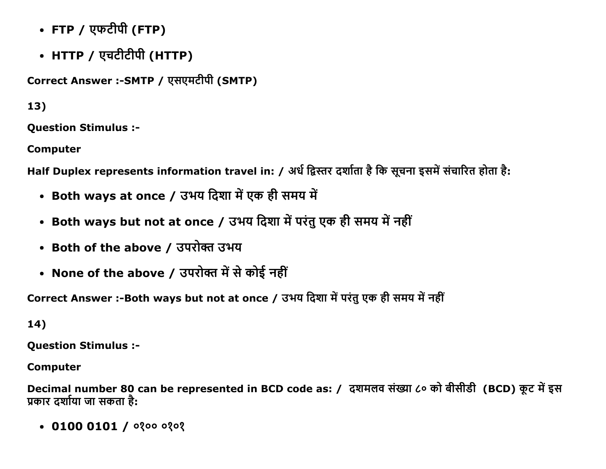- FTP / एफटीपी (FTP)
- HTTP / एचटीटीपी (HTTP)

```
Correct Answer :-SMTP / एसएमटीपी (SMTP)
```
**Question Stimulus :-**

**Computer** 

Half Duplex represents information travel in: / अर्ध द्विस्तर दर्शाता है कि सूचना इसमें संचारित होता है:

- Both ways at once / उभय दिशा में एक ही समय में
- Both ways but not at once / उभय दिशा में परंतु एक ही समय में नहीं
- Both of the above / उपरोक्त उभय
- None of the above / उपरोक्त में से कोई नहीं

Correct Answer :-Both ways but not at once / उभय दिशा में परंतु एक ही समय में नहीं

 $14)$ 

**Question Stimulus :-**

**Computer** 

Decimal number 80 can be represented in BCD code as: / दशमलव संख्या ८० को बीसीडी (BCD) कूट में इस प्रकार दर्शाया जा सकता है:

 $\bullet$  0100 0101 / 0200 0202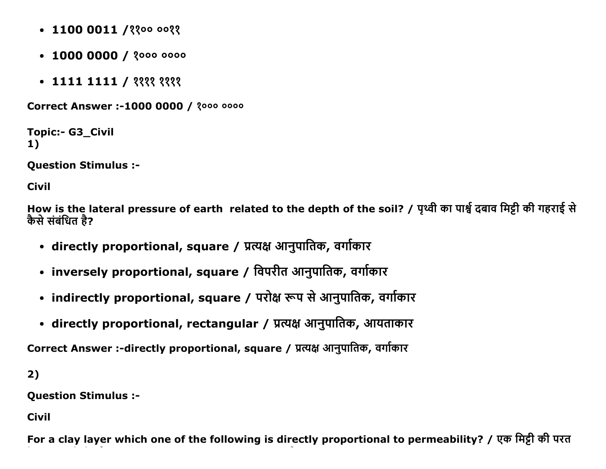- $\cdot$  1100 0011 / ? ? 00 00 ? ?
- $\cdot$  1000 0000 /  $3000$
- $\bullet$  1111 1111 / ११११ ११११

Correct Answer :-1000 0000 / 2000 0000

```
Topic:- G3_Civil
1)
```
Question Stimulus :

Civil

How is the lateral pressure of earth related to the depth of the soil? / पृथ्वी का पार्श्व दबाव मिट्टी की गहराई से कैसे संबंधित है?

- directly proportional, square / प्रत्यक्ष आनुपातिक, वर्गाकार
- inversely proportional, square / विपरीत आनुपातिक, वर्गाकार
- indirectly proportional, square / परोक्ष रूप से आनुपातिक, वर्गाकार
- directly proportional, rectangular / प्रत्यक्ष आनुपातिक, आयताकार

Correct Answer :-directly proportional, square / प्रत्यक्ष आनुपातिक, वर्गाकार

2)

Question Stimulus :

Civil

For a clay layer which one of the following is directly proportional to permeability? / एक मिट्टी की परत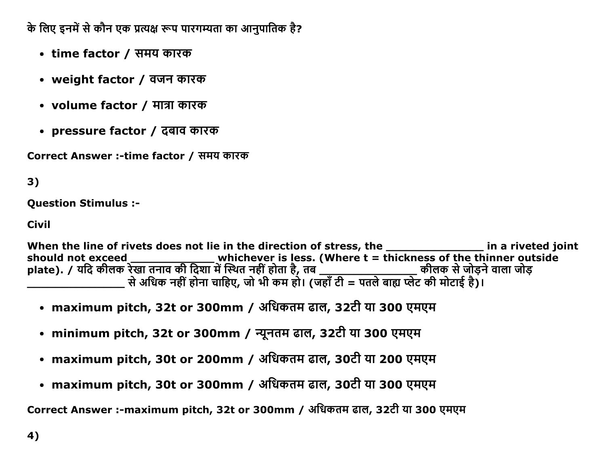के लिए इनमें से कौन एक प्रत्यक्ष रूप पारगम्यता का आनपातिक है?

- time factor / समय कारक
- weight factor / वजन कारक
- volume factor / मात्रा कारक
- pressure factor / दबाव कारक

Correct Answer :-time factor / समय कारक

## 3)

**Question Stimulus :-**

#### **Civil**

When the line of rivets does not lie in the direction of stress, the in a riveted joint should not exceed \_\_\_\_\_\_\_\_\_\_\_\_\_\_\_\_\_\_\_\_whichever is less. (Where t = thickness of the thinner outside plate). / यदि कीलक रेखा तनाव की दिशा में स्थित नहीं होता है, तब \_\_\_\_\_\_\_\_\_\_\_\_\_\_\_\_\_\_\_\_\_\_\_ कीलक से जोड़ने वाला जोड़ 

- maximum pitch, 32t or 300mm / अधिकतम ढाल, 32टी या 300 एमएम
- minimum pitch, 32t or 300mm / न्यूनतम ढाल, 32टी या 300 एमएम
- maximum pitch, 30t or 200mm / अधिकतम ढाल, 30टी या 200 एमएम
- maximum pitch, 30t or 300mm / अधिकतम ढाल, 30टी या 300 एमएम

Correct Answer :- maximum pitch, 32t or 300mm / अधिकतम ढाल, 32टी या 300 एमएम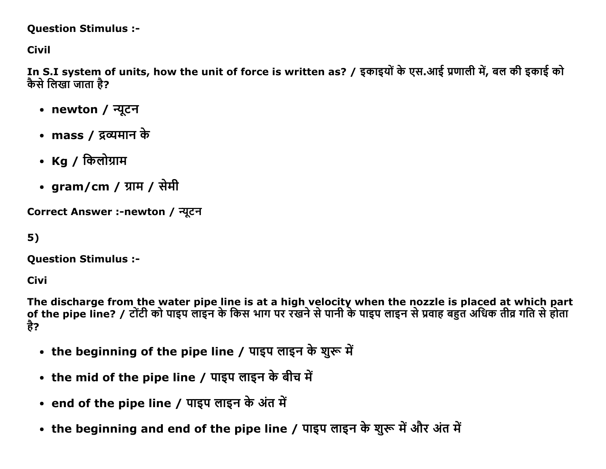#### **Question Stimulus :-**

**Civil** 

In S.I system of units, how the unit of force is written as? / इकाइयों के एस.आई प्रणाली में, बल की इकाई को कैसे लिखा जाता है?

- newton / न्यूटन
- mass / द्रव्यमान के
- Ka / किलोग्राम
- gram/cm / ग्राम / सेमी

Correct Answer :-newton / न्यूटन

 $5)$ 

**Question Stimulus :-**

**Civi** 

The discharge from the water pipe line is at a high velocity when the nozzle is placed at which part<br>of the pipe line? / टोंटी को पाइप लाइन के किस भाग पर रखने से पानी के पाइप लाइन से प्रवाह बहुत अधिक तीव्र गति से होता है?

- the beginning of the pipe line / पाइप लाइन के शुरू में
- the mid of the pipe line / पाइप लाइन के बीच में
- end of the pipe line / पाइप लाइन के अंत में
- the beginning and end of the pipe line / पाइप लाइन के शुरू में और अंत में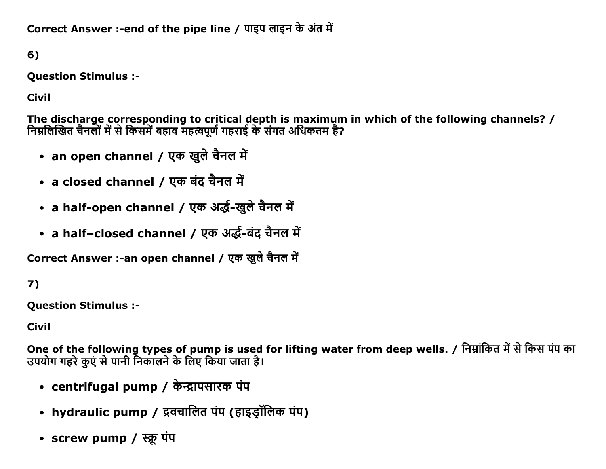Correct Answer :-end of the pipe line / पाइप लाइन के अंत में

6)

**Question Stimulus :-**

**Civil** 

The discharge corresponding to critical depth is maximum in which of the following channels? / निम्नलिखित चैनलों में से किसमें बहाव महत्वपूर्ण गहराई के संगत अधिकतम है?

- an open channel / एक खुले चैनल में
- a closed channel / एक बंद चैनल में
- a half-open channel / एक अर्द्ध-खुले चैनल में
- a half-closed channel / एक अर्द्ध-बंद चैनल में

Correct Answer :-an open channel / एक खुले चैनल में

# $7)$

**Question Stimulus :-**

**Civil** 

One of the following types of pump is used for lifting water from deep wells. / निम्नांकित में से किस पंप का उपयोग गहरे कुएं से पानी निकालने के लिए किया जाता है।

- centrifugal pump / केन्द्रापसारक पंप
- hydraulic pump / द्रवचालित पंप (हाइड्रॉलिक पंप)
- screw pump / स्क्रू पंप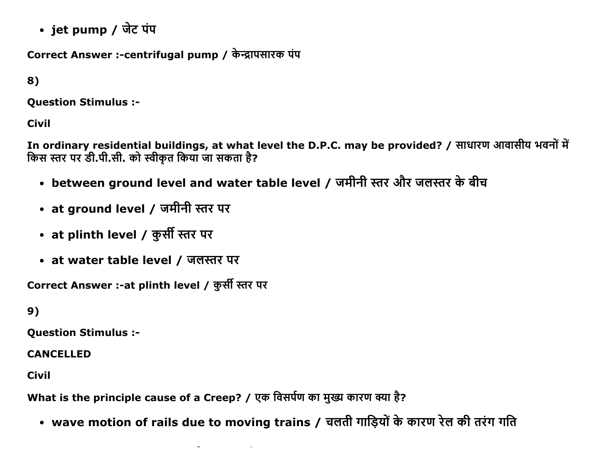• jet pump / जेट पंप

Correct Answer :-centrifugal pump / केन्द्रापसारक पंप

8)

Question Stimulus :

Civil

In ordinary residential buildings, at what level the D.P.C. may be provided? / साधारण आवासीय भवनों में किस स्तर पर डी.पी.सी. को स्वीकृत किया जा सकता है?

- between ground level and water table level / जमीनी स्तर और जलस्तर के बीच
- at ground level / जमीनी स्तर पर
- at plinth level / कुर्सी स्तर पर
- at water table level / जलस्तर पर

Correct Answer :-at plinth level / कुर्सी स्तर पर

9)

Question Stimulus :

CANCELLED

Civil

What is the principle cause of a Creep? / एक विसर्पण का मुख्य कारण क्या है?

• wave motion of rails due to moving trains / चलती गाड़ियों के कारण रेल की तरंग गति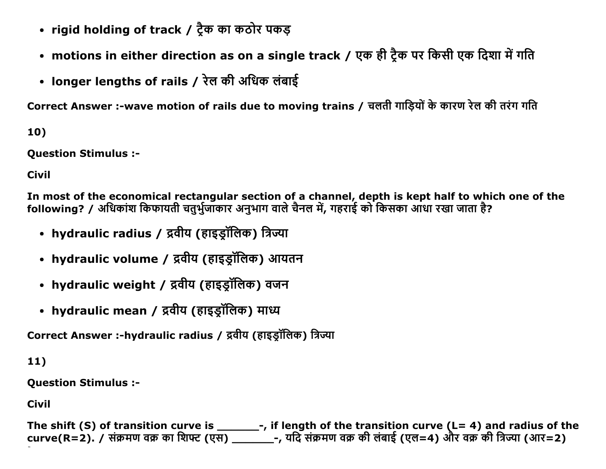- rigid holding of track / ट्रैक का कठोर पकड़
- motions in either direction as on a single track / एक ही ट्रैक पर किसी एक दिशा में गति
- longer lengths of rails / रेल की अधिक लंबाई

Correct Answer :-wave motion of rails due to moving trains / चलती गाडियों के कारण रेल की तरंग गति

10)

**Question Stimulus :-**

**Civil** 

In most of the economical rectangular section of a channel, depth is kept half to which one of the following? / अधिकांश किफायती चतुर्भुजाँकार अनुभाग वाले चैनल में, गहराई को किसका आंधा रखा जाता है?

- hydraulic radius / द्रवीय (हाइड्रॉलिक) त्रिज्या
- hydraulic volume / द्रवीय (हाइड्रॉलिक) आयतन
- hydraulic weight / द्रवीय (हाइड्रॉलिक) वजन
- hydraulic mean / द्रवीय (हाइड्रॉलिक) माध्य

Correct Answer :-hydraulic radius / द्रवीय (हाइड़ॉलिक) त्रिज्या

 $11)$ 

**Question Stimulus :-**

**Civil** 

The shift (S) of transition curve is \_\_\_\_\_\_\_\_-, if length of the transition curve (L= 4) and radius of the curve(R=2). / संक्रमण वक्र का शिफ्ट (एस) \_\_\_\_\_\_\_-, यदि संक्रमण वक्र की लंबाई (एल=4) और वक्र की त्रिज्या (आर=2)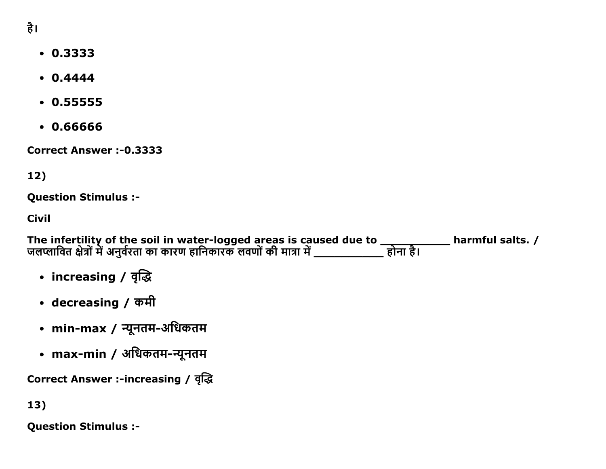- 0.3333
- $0.4444$
- $0.55555$
- 0.66666

Correct Answer :-0.3333

12)

Question Stimulus :

Civil

The infertility of the soil in water-logged areas is caused due to  $\_\_\_\_\_$  harmful salts. / जलप्लावित क्षेत्रों में अनुवेरता का कारण हानिकारक लवणों की मात्रा में \_\_\_\_\_\_\_\_\_\_\_\_\_ होना है।

- increasing / वृद्धि
- decreasing / कमी
- min-max / न्यूनतम-अधिकतम
- max-min / अधिकतम-न्यूनतम

**Correct Answer :-increasing / वृद्धि** 

13)

Question Stimulus :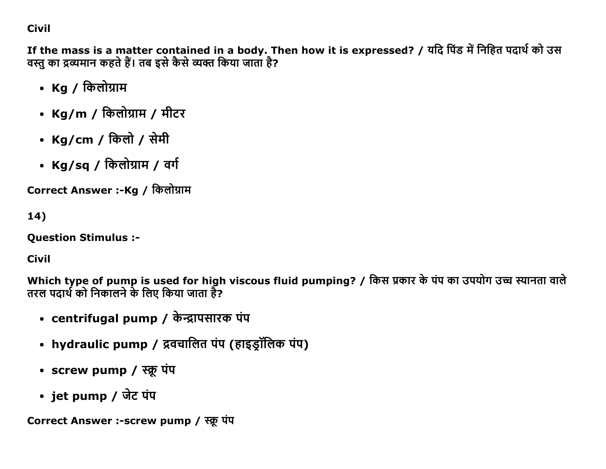## **Civil**

If the mass is a matter contained in a body. Then how it is expressed? / यदि पिंड में निहित पदार्थ को उस वस्तु का द्रव्यमान कहते हैं। तब इसे कैसे व्यक्त किया जाता है?

- Kg / किलोग्राम
- Kg/m / किलोग्राम / मीटर
- Kg/cm / किलो / सेमी
- Kg/sq / किलोग्राम / वर्ग

Correct Answer :-Kg / किलोग्राम

 $14)$ 

**Question Stimulus :-**

**Civil** 

Which type of pump is used for high viscous fluid pumping? / किस प्रकार के पंप का उपयोग उच्च स्यानता वाले तरल पदार्थ को निकालने के लिए किया जाता है?

- centrifugal pump / केन्द्रापसारक पंप
- hydraulic pump / द्रवचालित पंप (हाइड्रॉलिक पंप)
- screw pump / स्क्रू पंप
- jet pump / जेट पंप

Correct Answer :-screw pump / स्क्रू पंप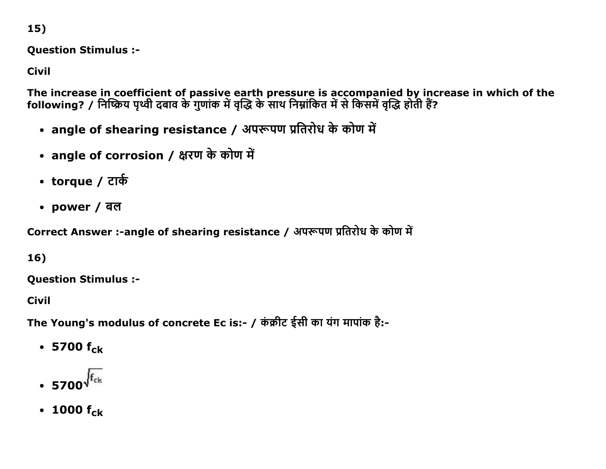**Question Stimulus :-**

**Civil** 

The increase in coefficient of passive earth pressure is accompanied by increase in which of the<br>following? / निष्क्रिय पृथ्वी दबाव के गुणांक में वृद्धि के साथ निम्नांकित में से किसमें वृद्धि होती हैं?

- angle of shearing resistance / अपरूपण प्रतिरोध के कोण में
- angle of corrosion / क्षरण के कोण में
- torque / टार्क
- power / बल

Correct Answer :-angle of shearing resistance / अपरूपण प्रतिरोध के कोण में

16)

**Ouestion Stimulus :-**

**Civil** 

The Young's modulus of concrete Ec is:- / कंक्रीट ईसी का यंग मापांक है:-

- 5700  $f_{ck}$
- $\cdot$  5700 $\sqrt{\text{f}_{\text{ck}}}$
- 1000  $f_{ck}$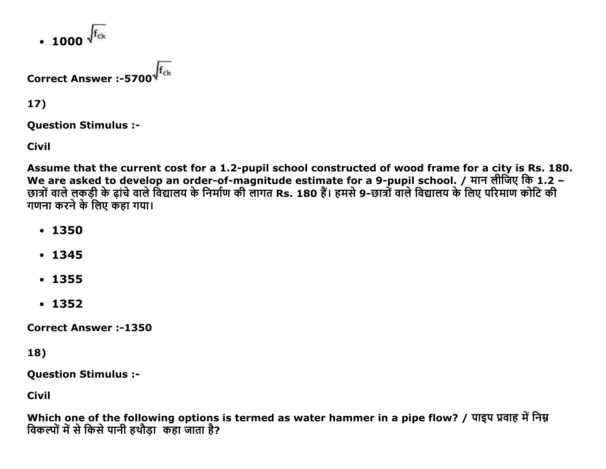• 1000  $\sqrt{f_{\rm ck}}$ 

# **Correct Answer: -5700**

 $17)$ 

**Ouestion Stimulus :-**

**Civil** 

Assume that the current cost for a 1.2-pupil school constructed of wood frame for a city is Rs. 180. We are asked to develop an order-of-magnitude estimate for a 9-pupil school. / मान लीजिए कि 1.2 -छात्रों वाले लकड़ी के ढ़ांचे वाले विद्यालय के निर्माण की लागत Rs. 180 हैं। हमसे 9-छात्रों वाले विद्यालय के लिए परिमाण कोटि की गणना करने के लिए कहा गया।

- $.1350$
- $.1345$
- $-1355$
- $-1352$

**Correct Answer:-1350** 

18)

**Question Stimulus :-**

**Civil** 

Which one of the following options is termed as water hammer in a pipe flow? / पाइप प्रवाह में निम्न विकल्पों में से किसे पानी हथौड़ा कहा जाता है?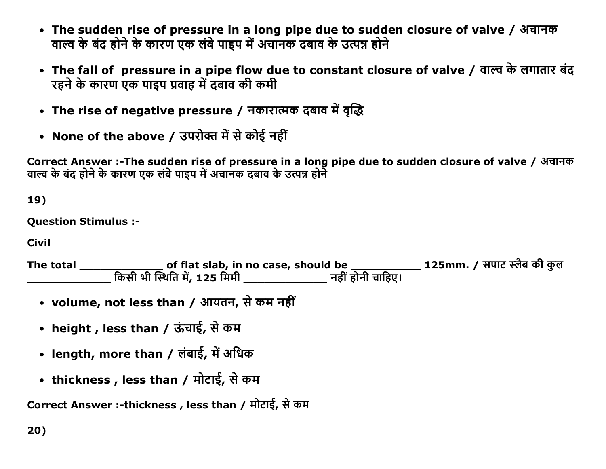- The sudden rise of pressure in a long pipe due to sudden closure of valve / अचानक वाल्व के बंद होने के कारण एक लंबे पाइप में अचानक दबाव के उत्पन्न होने
- The fall of pressure in a pipe flow due to constant closure of valve / वाल्व के लगातार बंद रहने के कारण एक पाइप प्रवाह में दबाव की कमी
- The rise of negative pressure / नकारात्मक दबाव में वृद्धि
- None of the above / उपरोक्त में से कोई नहीं

Correct Answer :-The sudden rise of pressure in a long pipe due to sudden closure of valve / अचानक वाल्व के बंद होने के कारण एक लंबे पाइप में अचानक दबाव के उत्पन्न होने

19)

**Question Stimulus :-**

**Civil** 

- volume, not less than / आयतन, से कम नहीं
- height, less than / ऊंचाई, से कम
- length, more than / लंबाई, में अधिक
- thickness , less than / मोटाई, से कम

Correct Answer :-thickness, less than / मोटाई, से कम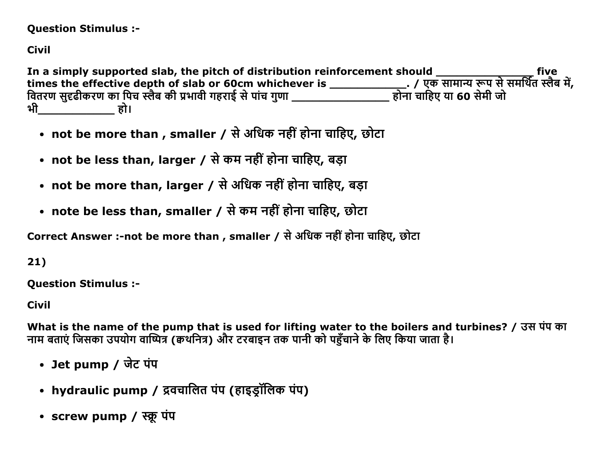#### **Question Stimulus :-**

## **Civil**

In a simply supported slab, the pitch of distribution reinforcement should \_\_\_\_\_\_\_\_\_\_\_\_\_\_\_\_\_\_\_\_\_\_\_\_\_\_\_\_\_\_\_\_\_\_\_<br>times the effective depth of slab or 60cm whichever is \_\_\_\_\_\_\_\_\_\_\_\_\_\_\_\_\_\_\_\_. / एक सामान्य रूप से समर्थित स्लैब भी हो।

- not be more than , smaller / से अधिक नहीं होना चाहिए, छोटा
- not be less than, larger / से कम नहीं होना चाहिए, बड़ा
- not be more than, larger / से अधिक नहीं होना चाहिए, बड़ा
- note be less than, smaller / से कम नहीं होना चाहिए, छोटा

Correct Answer :-not be more than , smaller / से अधिक नहीं होना चाहिए, छोटा

## $21)$

**Question Stimulus :-**

**Civil** 

What is the name of the pump that is used for lifting water to the boilers and turbines? / उस पंप का नाम बताएं जिसका उपयोग वाष्पित्र (क्वथनित्र) और टरबाइन तक पानी को पहँचाने के लिए किया जाता है।

- Jet pump / जेट पंप
- hydraulic pump / द्रवचालित पंप (हाइड़ॉलिक पंप)
- screw pump / स्क्रू पंप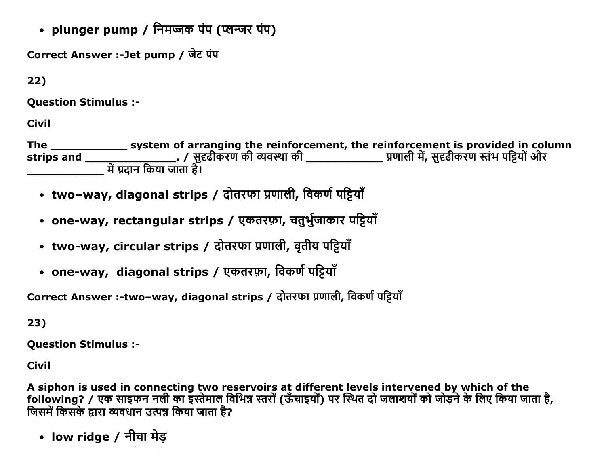• plunger pump / निमज्जक पंप (प्लन्जर पंप)

Correct Answer :-Jet pump / जेट पंप

 $22)$ 

**Ouestion Stimulus :-**

**Civil** 

- two-way, diagonal strips / दोतरफा प्रणाली, विकर्ण पट्टियाँ
- one-way, rectangular strips / एकतरफ़ा, चतुर्भुजाकार पट्टियाँ
- two-way, circular strips / दोतरफा प्रणाली, वृतीय पट्टियाँ
- one-way, diagonal strips / एकतरफ़ा, विकर्ण पट्टियाँ

Correct Answer :- two-way, diagonal strips / दोतरफा प्रणाली, विकर्ण पट्टियाँ

23)

**Question Stimulus :-**

**Civil** 

A siphon is used in connecting two reservoirs at different levels intervened by which of the following? / एक साइफन नली का इस्तेमाल विभिन्न स्तरों (ऊँचाइयों) पर स्थित दो जलाशयों को जोड़ने के लिए किया जाता है, जिसमें किसके द्वारा व्यवधान उत्पन्न किया जाता है?

• low ridge / नीचा मेड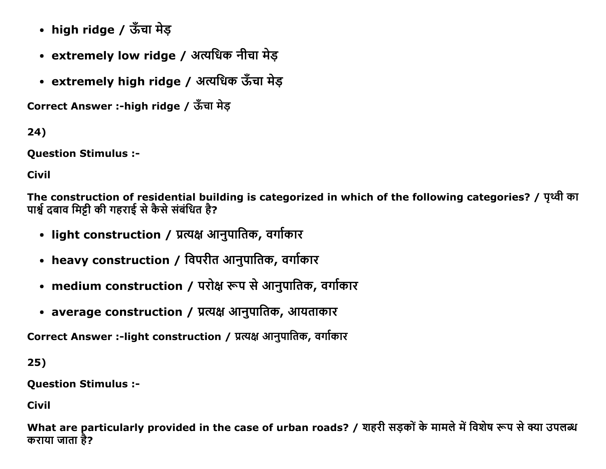- high ridge / ऊँचा मेड़
- extremely low ridge / अत्यधिक नीचा मेड़
- extremely high ridge / अत्यधिक ऊँचा मेड़

Correct Answer :-high ridge / ऊँचा मेड

24)

Question Stimulus :

Civil

The construction of residential building is categorized in which of the following categories? / पृथ्वी का पार्श्व दबाव मिट्टी की गहराई से कैसे संबंधित है?

- light construction / प्रत्यक्ष आनुपातिक, वर्गाकार
- heavy construction / विपरीत आनुपातिक, वर्गाकार
- medium construction / परोक्ष रूप से आनुपातिक, वर्गाकार
- average construction / प्रत्यक्ष आनुपातिक, आयताकार

Correct Answer :-light construction / प्रत्यक्ष आनुपातिक, वर्गाकार

25)

Question Stimulus :

Civil

What are particularly provided in the case of urban roads? / शहरी सड़कों के मामले में विशेष रूप से क्या उपलब्ध कराया जाता है?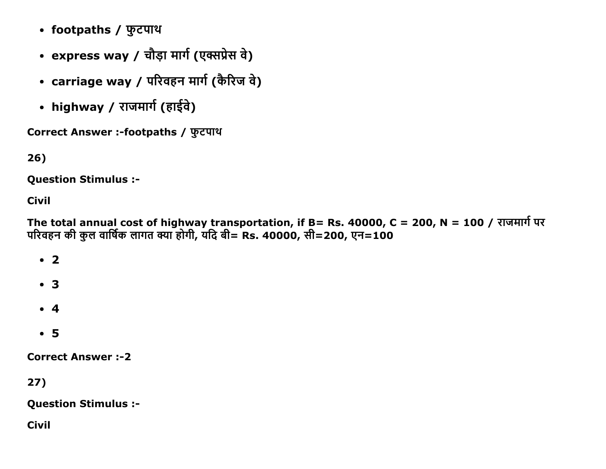- footpaths / फुटपाथ
- express way / चौड़ा मार्ग (एक्सप्रेस वे)
- carriage way / परिवहन मार्ग (कैरिज वे)
- highway / राजमार्ग (हाईवे)

Correct Answer :-footpaths / फुटपाथ

26)

Question Stimulus :

Civil

The total annual cost of highway transportation, if B= Rs. 40000, C = 200, N = 100 / राजमार्ग पर परिवहन की कुल वार्षिक लागत क्या होगी, यदि बी= Rs. 40000, सी=200, एन=100

 $\cdot$  2 3

- $\bullet$  4
- 5

**Correct Answer :-2** 

27)

Question Stimulus :

Civil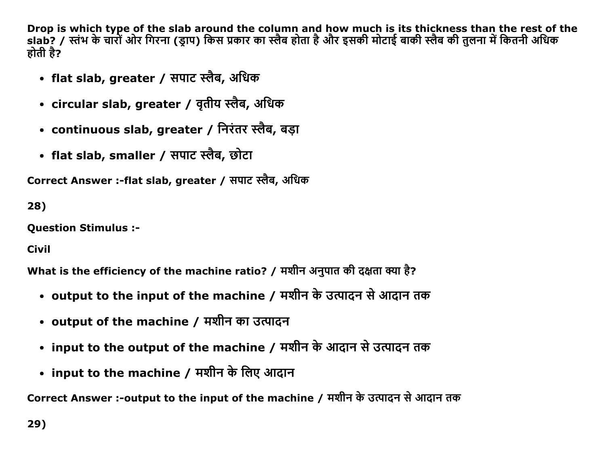Drop is which type of the slab around the column and how much is its thickness than the rest of the slab? / स्तंभ के चारों ओर गिरना (ड्राप) किस प्रकार का स्लैब होता है और इसकी मोटाई बाकी स्लैब की तुलना में कितनी अधिक होती है?

- flat slab, greater / सपाट स्लैब, अधिक
- circular slab, greater / वृतीय स्लैब, अधिक
- continuous slab, greater / निरंतर स्लैब, बड़ा
- flat slab, smaller / सपाट स्लैब, छोटा

Correct Answer :-flat slab, greater / सपाट स्लैब, अधिक

28)

**Ouestion Stimulus :-**

**Civil** 

What is the efficiency of the machine ratio? / मशीन अनुपात की दक्षता क्या है?

- output to the input of the machine / मशीन के उत्पादन से आदान तक
- output of the machine / मशीन का उत्पादन
- input to the output of the machine / मशीन के आदान से उत्पादन तक
- input to the machine / मशीन के लिए आदान

Correct Answer :-output to the input of the machine / मशीन के उत्पादन से आदान तक

29)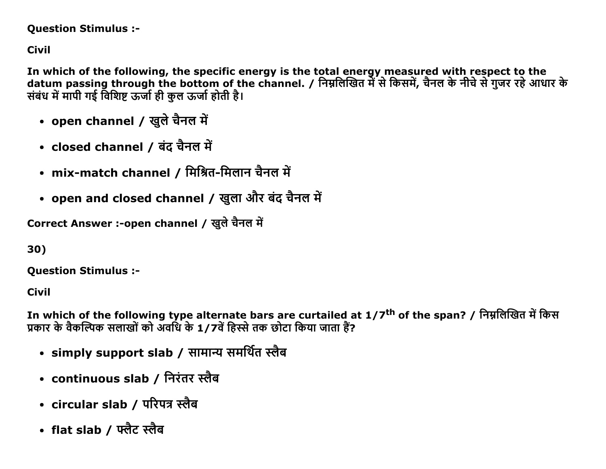### **Question Stimulus :-**

**Civil** 

In which of the following, the specific energy is the total energy measured with respect to the datum passing through the bottom of the channel. / निम्नलिखित में से किसमें, चैनल के नीचे से गुजर रहे आधार के संबंध में मापी गई विशिष्ट ऊर्जा ही कल ऊर्जा होती है।

- open channel / खुले चैनल में
- closed channel / बंद चैनल में
- mix-match channel / मिश्रित-मिलान चैनल में
- open and closed channel / खुला और बंद चैनल में

Correct Answer :-open channel / खुले चैनल में

30)

**Ouestion Stimulus :-**

**Civil** 

In which of the following type alternate bars are curtailed at 1/7<sup>th</sup> of the span? / निम्नलिखित में किस प्रकार के वैकल्पिक सलाखों को अवधि के 1/7वें हिस्से तक छोटा किया जाता हैं?

- simply support slab / सामान्य समर्थित स्लैब
- continuous slab / निरंतर स्लैब
- circular slab / परिपत्र स्लैब
- flat slab / फ्लैट स्लैब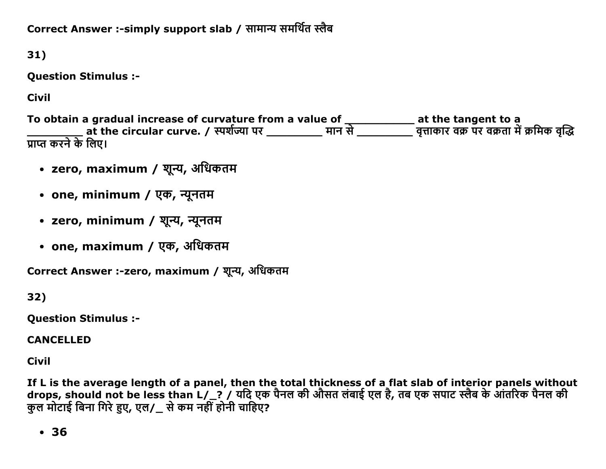Correct Answer :-simply support slab / सामान्य समर्थित स्लैब

31)

**Question Stimulus :-**

**Civil** 

To obtain a gradual increase of curvature from a value of \_\_\_\_\_\_\_\_\_\_\_\_\_ at the tangent to a<br>\_\_\_\_\_\_\_\_\_\_\_\_ at the circular curve. / स्पर्शज्या पर \_\_\_\_\_\_\_\_\_\_ मान से \_\_\_\_\_\_\_\_\_\_ वृत्ताकार वक्र पर वक्रता में क्रमिक वृद्धि प्राप्त करने के लिए।

- zero, maximum / शून्य, अधिकतम
- one, minimum / एक, न्यूनतम
- zero, minimum / शून्य, न्यूनतम
- one, maximum / एक, अधिकतम

Correct Answer :- zero, maximum / शून्य, अधिकतम

32)

**Question Stimulus :-**

**CANCELLED** 

**Civil** 

If L is the average length of a panel, then the total thickness of a flat slab of interior panels without drops, should not be less than L/\_? / यदि एक पैनल की औसत लंबाई एल है, तब एक सपाट स्लैब के आंतरिक पैनल की कुल मोटाई बिना गिरे हुए, एल/\_ से कम नहीं होनी चाहिए?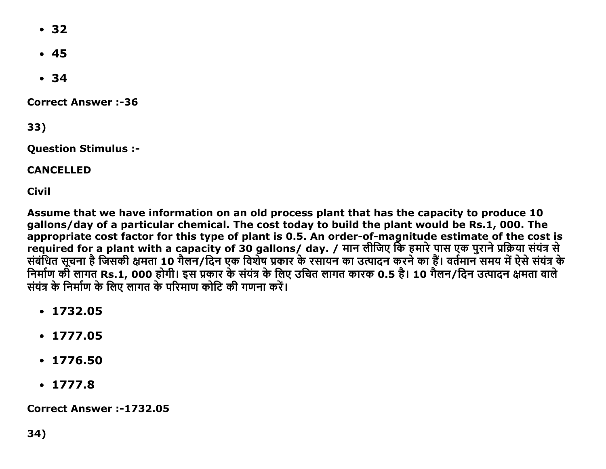- $\cdot$  32
- $45$
- $34$

**Correct Answer:-36** 

33)

**Ouestion Stimulus :-**

**CANCELLED** 

**Civil** 

Assume that we have information on an old process plant that has the capacity to produce 10 gallons/day of a particular chemical. The cost today to build the plant would be Rs.1, 000. The appropriate cost factor for this type of plant is 0.5. An order-of-magnitude estimate of the cost is required for a plant with a capacity of 30 gallons/ day. / मान लीजिए कि हमारे पास एक पुराने प्रक्रिया संयंत्र स<br>संबंधित सूचना है जिसकी क्षमता 10 गैलन/दिन एक विशेष प्रकार के रसायन का उत्पादन करने का हैं। वर्तमान समय में ऐस निर्माण की लागत Rs.1, 000 होगी। इस प्रकार के संयंत्र के लिए उचित लागत कारक 0.5 है। 10 गैलन/दिन उत्पादन क्षमता वाले संयंत्र के निर्माण के लिए लागत के परिमाण कोटि की गणना करें।

- $\cdot$  1732.05
- $\cdot$  1777.05
- $\cdot$  1776.50
- $\cdot$  1777.8

**Correct Answer:-1732.05**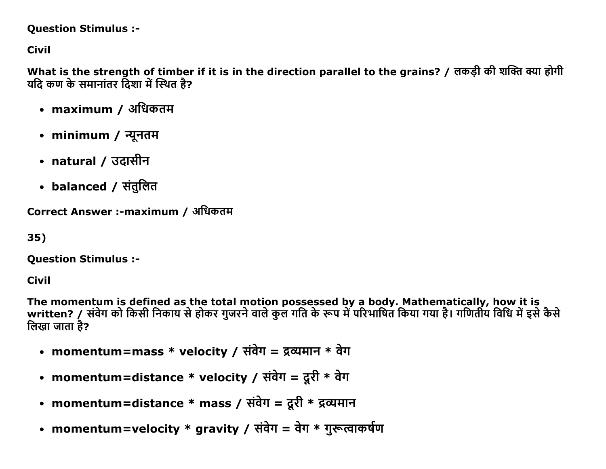#### **Question Stimulus :-**

**Civil** 

What is the strength of timber if it is in the direction parallel to the grains? / लकड़ी की शक्ति क्या होगी यदि कण के समानांतर दिशा में स्थित है?

- maximum / अधिकतम
- minimum / न्यूनतम
- natural / उटासीन
- balanced / संतुलित

Correct Answer :-maximum / अधिकतम

35)

**Question Stimulus :-**

Civil

The momentum is defined as the total motion possessed by a body. Mathematically, how it is<br>written? / संवेग को किसी निकाय से होकर गुजरने वाले कुल गति के रूप में परिभाषित किया गया है। गणितीय विधि में इसे कैसे लिखा जाता है?

- momentum=mass \* velocity / संवेग = द्रव्यमान \* वेग
- momentum=distance \* velocity / संवेग = दूरी \* वेग
- momentum=distance \* mass / संवेग = दूरी \* द्रव्यमान
- momentum=velocity \* gravity / संवेग = वेग \* गुरूत्वाकर्षण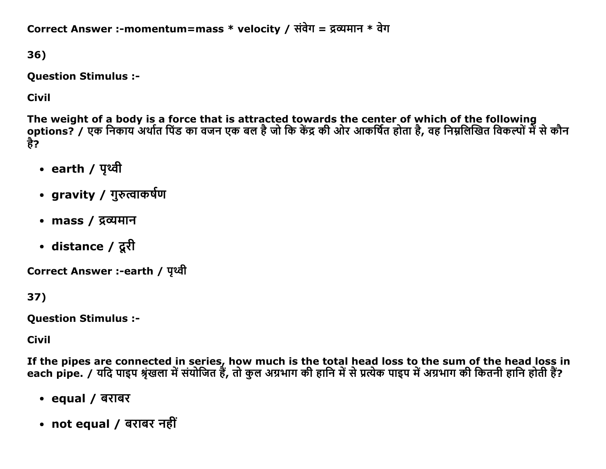Correct Answer :-momentum=mass \* velocity / संवेग = द्रव्यमान \* वेग

36)

**Question Stimulus :-**

**Civil** 

The weight of a body is a force that is attracted towards the center of which of the following options? / एक निकाय अर्थात पिंड का वजन एक बल है जो कि केंद्र की ओर आकर्षित होता है, वह निम्नलिखित विकल्पों में से कौन है?

- earth / पृथ्वी
- gravity / गुरुत्वाकर्षण
- mass / द्रव्यमान
- distance / दूरी

Correct Answer :-earth / पृथ्वी

37)

**Question Stimulus :-**

**Civil** 

If the pipes are connected in series, how much is the total head loss to the sum of the head loss in each pipe. / यदि पाइप श्रृंखला में संयोजित हैं, तो कुल अग्रभाग की हानि में से प्रत्येक पाइप में अग्रभाग की कितनी हानि होती हैं?

- equal / बराबर
- not equal / बराबर नहीं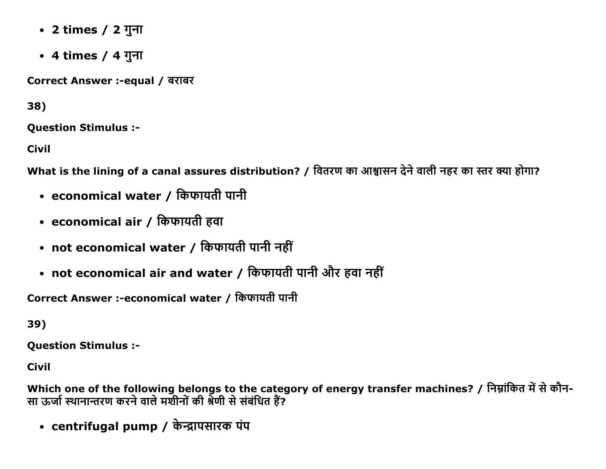- 2 times / 2 गुना
- 4 times / 4 गुना

Correct Answer :-equal / बराबर

38)

**Ouestion Stimulus :-**

**Civil** 

What is the lining of a canal assures distribution? / वितरण का आश्वासन देने वाली नहर का स्तर क्या होगा?

- economical water / किफायती पानी
- economical air / किफायती हवा
- not economical water / किफायती पानी नहीं
- not economical air and water / किफायती पानी और हवा नहीं

Correct Answer :-economical water / किफायती पानी

39)

**Question Stimulus :-**

**Civil** 

Which one of the following belongs to the category of energy transfer machines? / निम्नांकित में से कौन-सा ऊर्जा स्थानान्तरण करने वाले मशीनों की श्रेणी से संबंधित हैं?

• centrifugal pump / केन्द्रापसारक पंप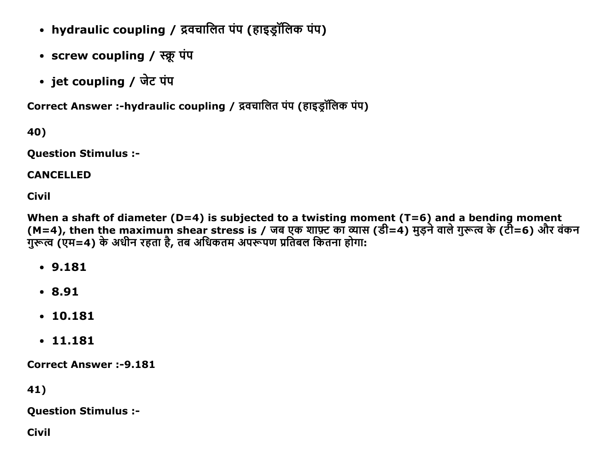- hydraulic coupling / द्रवचालित पंप (हाइड्रॉलिक पंप)
- screw coupling / स्क्रू पंप
- jet coupling / जेट पंप

Correct Answer :-hydraulic coupling / द्रवचालित पंप (हाइड़ॉलिक पंप)

40)

Question Stimulus :

## CANCELLED

Civil

When a shaft of diameter (D=4) is subjected to a twisting moment (T=6) and a bending moment (M=4), then the maximum shear stress is / जब एक शाफ़्ट का व्यास (डी=4) मुड़ने वाले गुरूत्व के (टी=6) और वकन गुरूत्व (एम=4) के अधीन रहता है, तब अधिकतम अपरूपण प्रतिबल कितना होगा:

- 9.181
- 8.91
- 10.181
- 11.181

Correct Answer :-9.181

41)

Question Stimulus :

Civil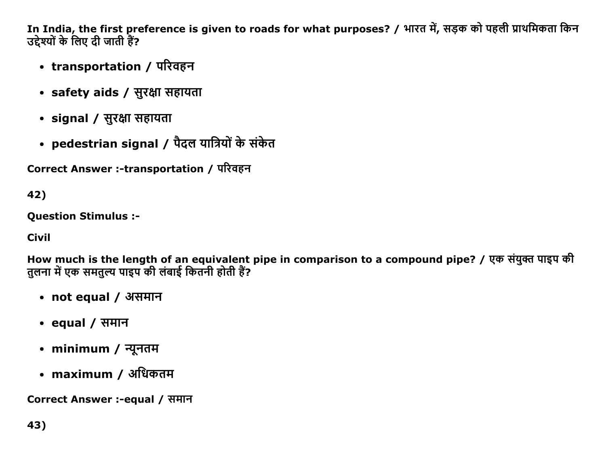In India, the first preference is given to roads for what purposes? / भारत में, सड़क को पहली प्राथमिकता किन उद्देश्यों के लिए दी जाती हैं?

- transportation / परिवहन
- safety aids / सुरक्षा सहायता
- signal / सुरक्षा सहायता
- pedestrian signal / पैदल यात्रियों के संकेत

Correct Answer :-transportation / परिवहन

42)

**Ouestion Stimulus :-**

**Civil** 

How much is the length of an equivalent pipe in comparison to a compound pipe? / एक संयुक्त पाइप की तुलना में एक समतुल्य पाइप की लंबाई कितनी होती हैं?

- not equal / असमान
- equal / समान
- minimum / न्यूनतम
- maximum / अधिकतम

Correct Answer :-equal / समान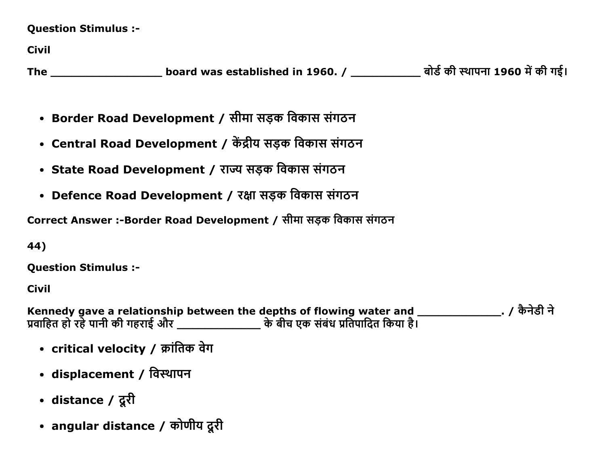**Question Stimulus :-**

**Civil** 

- Border Road Development / सीमा सड़क विकास संगठन
- Central Road Development / केंद्रीय सड़क विकास संगठन
- State Road Development / राज्य सड़क विकास संगठन
- Defence Road Development / रक्षा सड़क विकास संगठन

Correct Answer :-Border Road Development / सीमा सड़क विकास संगठन

44)

**Question Stimulus :-**

Civil

Kennedy gave a relationship between the depths of flowing water and \_\_\_\_\_\_\_\_\_\_\_\_\_\_\_\_\_\_\_\_. / कैनेडी ने<br>प्रवाहित हो रहे पानी की गहराई और \_\_\_\_\_\_\_\_\_\_\_\_\_\_\_\_\_\_\_\_\_ के बीच एक संबंध प्रतिपादित किया है।

- critical velocity / क्रांतिक वेग
- displacement / विस्थापन
- distance / दूरी
- angular distance / कोणीय दूरी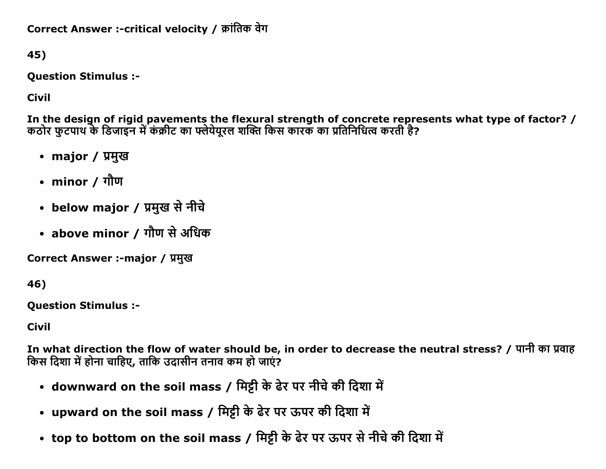Correct Answer :-critical velocity / क्रांतिक वेग

45)

**Question Stimulus :-**

**Civil** 

In the design of rigid pavements the flexural strength of concrete represents what type of factor? /<br>कठोर फुटपाथ के डिजाइन में कंक्रीट का फ्लेयेयूरल शक्ति किस कारक का प्रतिनिधित्व करती है?

- major / प्रमुख
- minor / गौण
- below major / प्रमुख से नीचे
- above minor / गौण से अधिक

Correct Answer :-major / प्रमुख

46)

**Ouestion Stimulus :-**

**Civil** 

In what direction the flow of water should be, in order to decrease the neutral stress? / पानी का प्रवाह किस दिशा में होना चाहिए, ताकि उदासीन तनाव कम हो जाएं?

- downward on the soil mass / मिट्टी के ढेर पर नीचे की दिशा में
- upward on the soil mass / मिट्टी के ढेर पर ऊपर की दिशा में
- top to bottom on the soil mass / मिट्टी के ढेर पर ऊपर से नीचे की दिशा में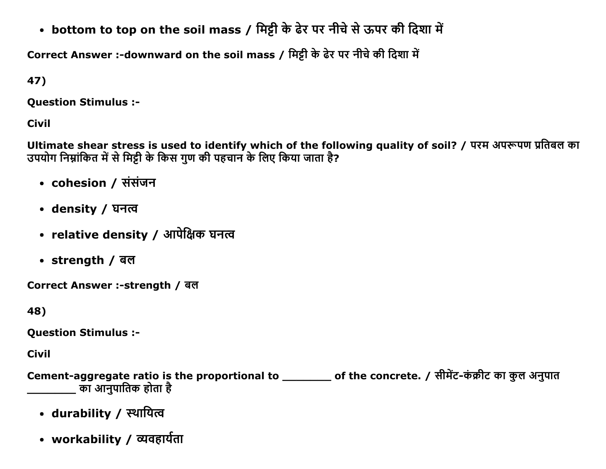• bottom to top on the soil mass / मिट्टी के ढेर पर नीचे से ऊपर की दिशा में

Correct Answer :-downward on the soil mass / मिट्टी के ढेर पर नीचे की दिशा में

47)

**Question Stimulus :-**

**Civil** 

Ultimate shear stress is used to identify which of the following quality of soil? / परम अपरूपण प्रतिबल का उपयोग निम्नांकित में से मिट्टी के किस गुण की पहचान के लिए किया जाता है?

- cohesion / संसंजन
- density / घनत्व
- relative density / आपेक्षिक घनत्व
- strength / बल

Correct Answer :-strength / बल

48)

**Question Stimulus :-**

**Civil** 

Cement-aggregate ratio is the proportional to \_\_\_\_\_\_\_\_ of the concrete. / सीमेंट-कंक्रीट का कुल अनुपात का आनुपातिक होता है

- durability / स्थायित्व
- workability / व्यवहार्यता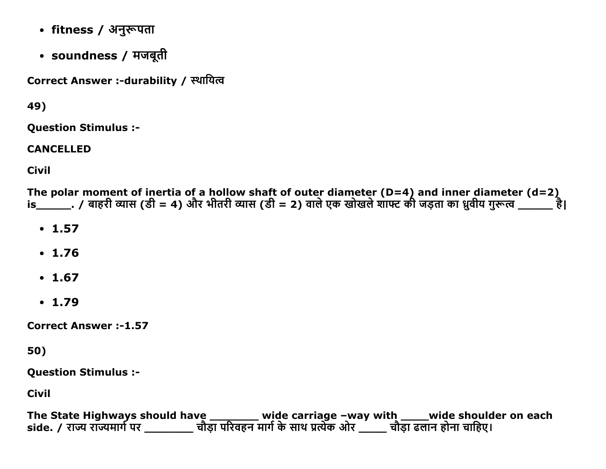- fitness / अनुरूपता
- soundness / मजबूती

Correct Answer :-durability / स्थायित्व

49)

**Ouestion Stimulus :-**

**CANCELLED** 

**Civil** 

The polar moment of inertia of a hollow shaft of outer diameter (D=4) and inner diameter (d=2)<br>is\_\_\_\_\_\_\_\_. / बाहरी व्यास (डी = 4) और भीतरी व्यास (डी = 2) वाले एक खोखले शाफ्ट की जड़ता का ध्रुवीय गुरूत्व \_\_\_\_\_\_ है।

- $\cdot$  1.57
- $1.76$
- $.1.67$
- $.1.79$

**Correct Answer:-1.57** 

50)

**Question Stimulus :-**

**Civil** 

The State Highways should have \_\_\_\_\_\_\_\_\_ wide carriage –way with \_\_\_\_\_wide shoulder on each<br>side. / राज्य राज्यमार्ग पर \_\_\_\_\_\_\_\_\_ चौड़ा परिवहन मार्ग के साथ प्रत्येक ओर \_\_\_\_\_ चौड़ा ढलान होना चाहिए।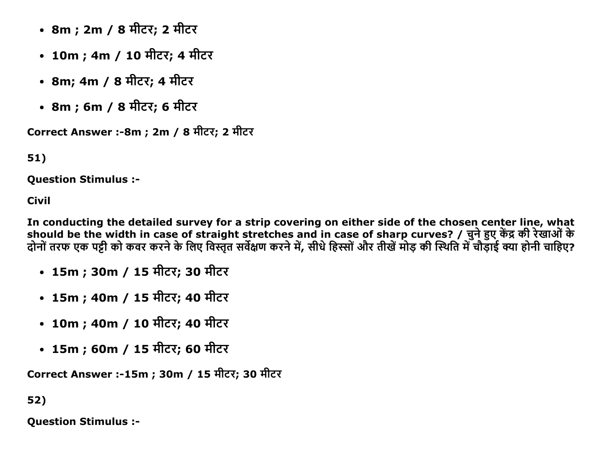- 8m ; 2m / 8 मीटर; 2 मीटर
- 10m ; 4m / 10 मीटर; 4 मीटर
- 8m; 4m / 8 मीटर; 4 मीटर
- 8m ; 6m / 8 मीटर; 6 मीटर

Correct Answer :-8m ; 2m / 8 मीटर; 2 मीटर

51)

**Ouestion Stimulus :-**

**Civil** 

In conducting the detailed survey for a strip covering on either side of the chosen center line, what should be the width in case of straight stretches and in case of sharp curves? / चुने हुए केंद्र की रेखाओं के दोनों तरफ एक पट्टी को कवर करने के लिए विस्तृत सर्वेक्षण करने में, सीधे हिस्सों और तीखें मोड़ की स्थिति में चौड़ाई क्या होनी चाहिए?

- 15m ; 30m / 15 मीटर; 30 मीटर
- 15m ; 40m / 15 मीटर; 40 मीटर
- 10m ; 40m / 10 मीटर; 40 मीटर
- 15m ; 60m / 15 मीटर; 60 मीटर

Correct Answer :-15m ; 30m / 15 मीटर; 30 मीटर

52)

**Question Stimulus :-**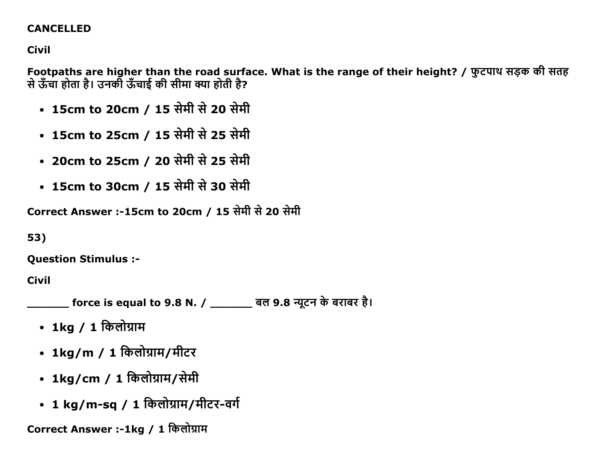### **CANCELLED**

**Civil** 

Footpaths are higher than the road surface. What is the range of their height? / फ़ुटपाथ सड़क की सतह से ऊँचा होता है। उनकी ऊँचाई की सीमा क्या होती है?

- 15cm to 20cm / 15 सेमी से 20 सेमी
- 15cm to 25cm / 15 सेमी से 25 सेमी
- 20cm to 25cm / 20 सेमी से 25 सेमी
- 15cm to 30cm / 15 सेमी से 30 सेमी

Correct Answer :-15cm to 20cm / 15 सेमी से 20 सेमी

53)

**Question Stimulus :-**

**Civil** 

\_\_\_\_\_\_\_ force is equal to 9.8 N. / \_\_\_\_\_\_\_\_ बल 9.8 न्यूटन के बराबर है।

- 1kg / 1 किलोग्राम
- 1kg/m / 1 किलोग्राम/मीटर
- 1kg/cm / 1 किलोग्राम/सेमी
- 1 kg/m-sq / 1 किलोग्राम/मीटर-वर्ग

Correct Answer :-1kg / 1 किलोग्राम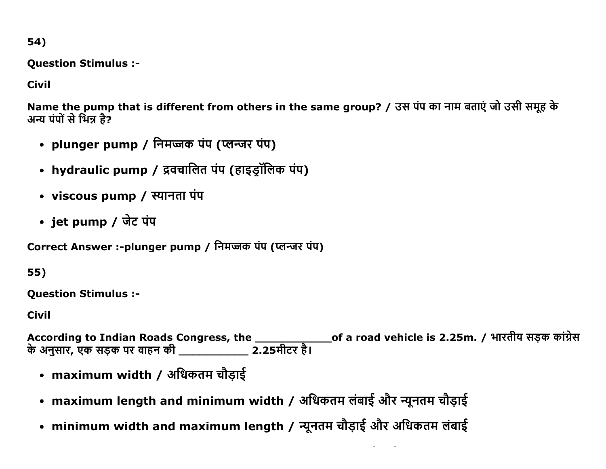54)

**Question Stimulus :-**

**Civil** 

Name the pump that is different from others in the same group? / उस पंप का नाम बताएं जो उसी समूह के अन्य पंपों से भिन्न है?

- plunger pump / निमज्जक पंप (प्लन्जर पंप)
- hydraulic pump / द्रवचालित पंप (हाइड्रॉलिक पंप)
- viscous pump / स्यानता पंप
- jet pump / जेट पंप

Correct Answer :-plunger pump / निमज्जक पंप (प्लन्जर पंप)

55)

**Question Stimulus :-**

**Civil** 

According to Indian Roads Congress, the \_\_\_\_\_\_\_\_\_\_\_\_\_\_\_of a road vehicle is 2.25m. / भारतीय सड़क कांग्रेस<br>के अनुसार, एक सड़क पर वाहन की \_\_\_\_\_\_\_\_\_\_\_\_\_\_ 2.25मीटर है।

- maximum width / अधिकतम चौड़ाई
- maximum length and minimum width / अधिकतम लंबाई और न्यूनतम चौड़ाई
- minimum width and maximum length / न्यूनतम चौड़ाई और अधिकतम लंबाई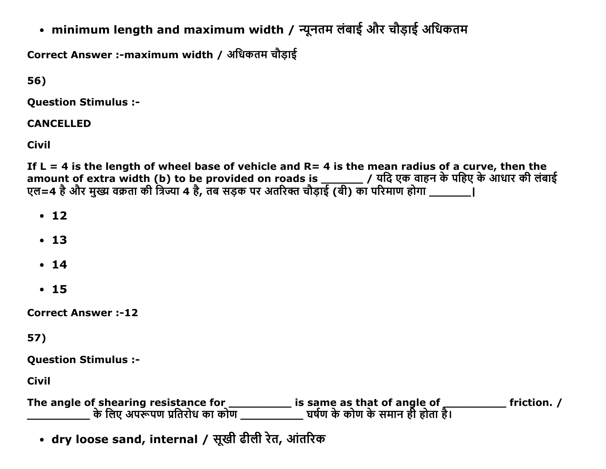• minimum length and maximum width / न्यूनतम लंबाई और चौड़ाई अधिकतम

Correct Answer :-maximum width / अधिकतम चौडाई

56)

**Ouestion Stimulus :-**

**CANCELLED** 

**Civil** 

If L = 4 is the length of wheel base of vehicle and R = 4 is the mean radius of a curve, then the amount of extra width (b) to be provided on roads is \_\_\_\_\_\_\_ / यदि एक वाहन के पहिए के आधार की लंबाई एल=4 है और मुख्य वक्रता की त्रिज्या 4 है, तब सड़क पर अतरिक्त चौड़ाई (बी) का परिमाण होगा \_\_\_\_\_\_\_\_\_\_\_\_

- $\cdot$  12
- $\cdot$  13
- $\cdot$  14
- $\cdot$  15

**Correct Answer:-12** 

57)

**Question Stimulus :-**

**Civil** 

**Example 1 friction.** /

• dry loose sand, internal / सूखी ढीली रेत, आंतरिक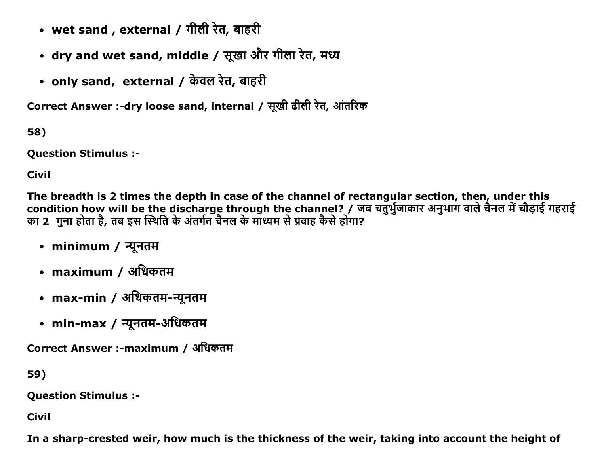- wet sand , external / गीली रेत, बाहरी
- dry and wet sand, middle / सूखा और गीला रेत, मध्य
- only sand, external / केवल रेत, बाहरी

Correct Answer :-dry loose sand, internal / सूखी ढीली रेत, आंतरिक

58)

**Question Stimulus :-**

**Civil** 

The breadth is 2 times the depth in case of the channel of rectangular section, then, under this condition how will be the discharge through the channel? / जब चतुर्भुजाकार अनुभाग वाले चैनल में चौड़ाई गहराई का 2 गुना होता है, तब इस स्थिति के अंतर्गत चैनल के माध्यम से प्रवाह कैसे होगा?

- minimum / न्यूनतम
- maximum / अधिकतम
- max-min / अधिकतम-न्यूनतम
- min-max / न्यूनतम-अधिकतम

Correct Answer :-maximum / अधिकतम

59)

**Question Stimulus :-**

**Civil** 

In a sharp-crested weir, how much is the thickness of the weir, taking into account the height of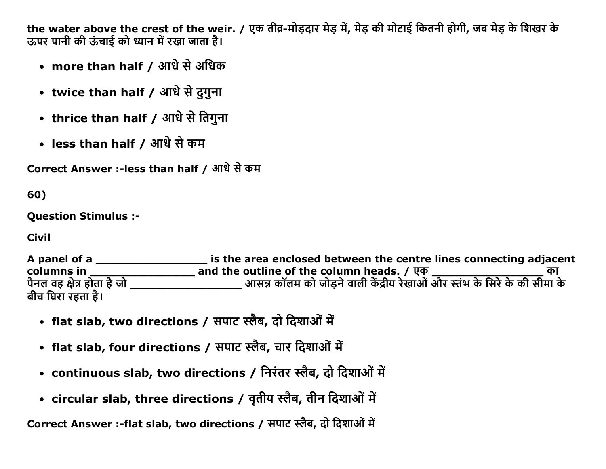the water above the crest of the weir. / एक तीव्र-मोडदार मेड में, मेड की मोटाई कितनी होगी, जब मेड के शिखर के ऊपर पानी की ऊंचाई को ध्यान में रखा जाता है।

- more than half / आधे से अधिक
- twice than half / आधे से दुगुना
- thrice than half / आधे से तिगुना
- less than half / आधे से कम

Correct Answer :-less than half / आधे से कम

60)

**Ouestion Stimulus :-**

**Civil** 

A panel of a \_\_\_\_\_\_\_\_\_\_\_\_\_\_\_\_\_\_\_\_\_\_\_\_ is the area enclosed between the centre lines connecting adjacent columns in and the outline of the column heads. / एक बीच घिरा रहता है।

- flat slab, two directions / सपाट स्लैब, दो दिशाओं में
- flat slab, four directions / सपाट स्लैब, चार दिशाओं में
- continuous slab, two directions / निरंतर स्लैब, दो दिशाओं में
- circular slab, three directions / वृतीय स्लैब, तीन दिशाओं में

Correct Answer :-flat slab, two directions / सपाट स्लैब, दो दिशाओं में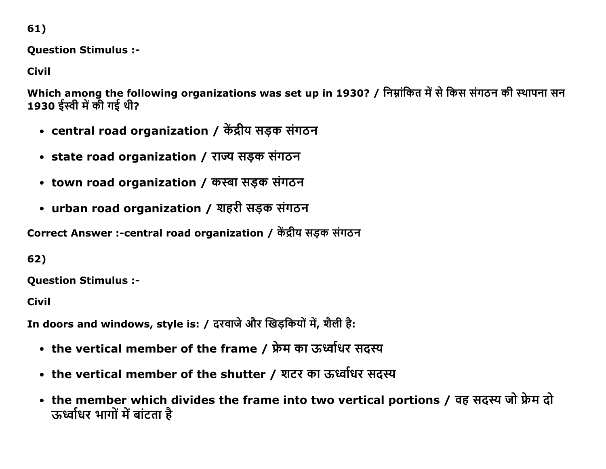61)

## **Question Stimulus :-**

**Civil** 

Which among the following organizations was set up in 1930? / निम्नांकित में से किस संगठन की स्थापना सन 1930 ईस्वी में की गई थी?

- central road organization / केंद्रीय सड़क संगठन
- state road organization / राज्य सडक संगठन
- town road organization / कस्बा सड़क संगठन
- urban road organization / शहरी सड़क संगठन

Correct Answer :-central road organization / केंद्रीय सड़क संगठन

62)

**Question Stimulus :-**

**Civil** 

In doors and windows, style is: / दरवाजे और खिड़कियों में, शैली है:

- the vertical member of the frame / फ्रेम का ऊर्ध्वाधर सदस्य
- the vertical member of the shutter / शटर का ऊर्ध्वाधर सदस्य
- the member which divides the frame into two vertical portions / वह सदस्य जो फ्रेम दो ऊर्ध्वधिर भागों में बांटता है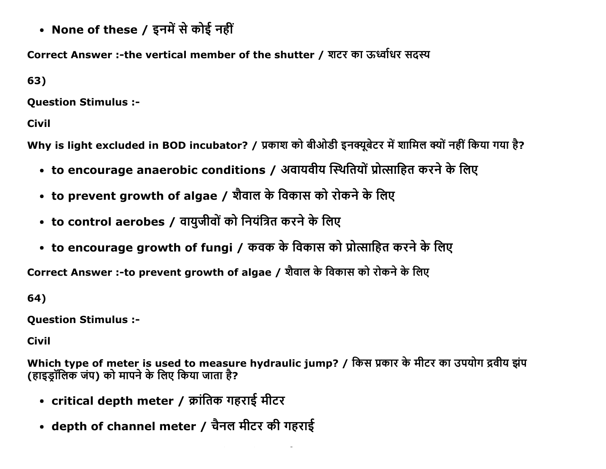• None of these / इनमें से कोई नहीं

Correct Answer :-the vertical member of the shutter / शटर का ऊर्ध्वाधर सदस्य

63)

Question Stimulus :

Civil

Why is light excluded in BOD incubator? / प्रकाश को बीओडी इनक्यूबेटर में शामिल क्यों नहीं किया गया है?

- to encourage anaerobic conditions / अवायवीय स्थितियों प्रोत्साहित करने के लिए
- to prevent growth of algae / शैवाल के विकास को रोकने के लिए
- to control aerobes / वायुजीवों को नियंत्रित करने के लिए
- to encourage growth of fungi / कवक के विकास को प्रोत्साहित करने के लिए

Correct Answer :-to prevent growth of algae / शैवाल के विकास को रोकने के लिए

64)

Question Stimulus :

Civil

Which type of meter is used to measure hydraulic jump? / किस प्रकार के मीटर का उपयोग द्रवीय झंप (हाइडॉलिक जंप) को मापने के लिए किया जाता है?

- critical depth meter / क्रांतिक गहराई मीटर
- depth of channel meter / चैनल मीटर की गहराई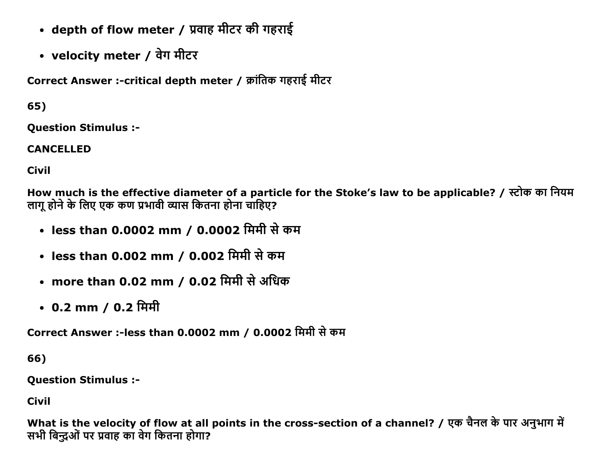- depth of flow meter / प्रवाह मीटर की गहराई
- velocity meter / वेग मीटर

Correct Answer :-critical depth meter / क्रांतिक गहराई मीटर

65)

Question Stimulus :

CANCELLED

Civil

How much is the effective diameter of a particle for the Stoke's law to be applicable? / स्टोक का नियम लागु होने के लिए एक कण प्रभावी व्यास कितना होना चाहिए?

- less than 0.0002 mm / 0.0002 मिमी से कम
- less than 0.002 mm / 0.002 मिमी से कम
- more than 0.02 mm / 0.02 मिमी से अधिक
- $0.2 \text{ mm} / 0.2 \text{ }\hat{\text{H}}$ मी

Correct Answer :-less than 0.0002 mm / 0.0002 मिमी से कम

66)

Question Stimulus :

Civil

What is the velocity of flow at all points in the cross-section of a channel? / एक चैनल के पार अनुभाग में सभी बिन्दुओं पर प्रवाह का वेग कितना होगा?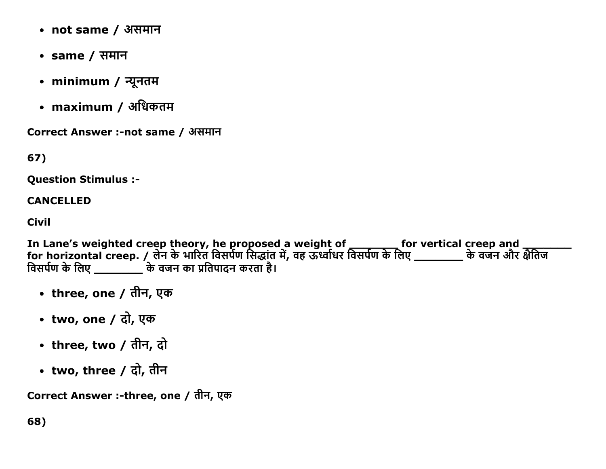- not same / असमान
- same / समान
- minimum / न्यूनतम
- maximum / अधिकतम

Correct Answer :-not same / असमान

67)

**Ouestion Stimulus :-**

#### **CANCELLED**

**Civil** 

In Lane's weighted creep theory, he proposed a weight of \_\_\_\_\_\_\_\_\_ for vertical creep and \_\_\_\_\_\_<br>for horizontal creep. / लेन के भारित विसर्पण सिद्धांत में, वह ऊर्ध्वाधर विसर्पण के लिए \_\_\_\_\_\_\_\_\_\_ के वजन और क्षैतिज<br>विसर्पण

- three, one / तीन, एक
- two, one / दो, एक
- three, two / तीन, दो
- two, three / दो, तीन

Correct Answer :-three, one / तीन, एक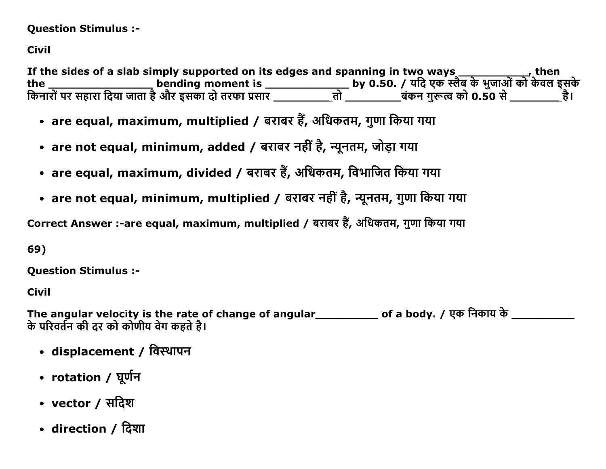### **Question Stimulus :-**

# **Civil**

If the sides of a slab simply supported on its edges and spanning in two ways \_\_\_\_\_\_\_\_\_\_\_\_\_\_, then<br>the \_\_\_\_\_\_\_\_\_\_\_\_\_\_\_\_\_\_\_\_\_bending moment is \_\_\_\_\_\_\_\_\_\_\_\_\_\_\_\_\_\_\_by 0.50. / यदि एक स्लैब के भुजाओं को केवल इसके<br>किनारों पर स

- are equal, maximum, multiplied / बराबर हैं, अधिकतम, गुणा किया गया
- are not equal, minimum, added / बराबर नहीं है, न्यूनतम, जोड़ा गया
- are equal, maximum, divided / बराबर हैं, अधिकतम, विभाजित किया गया
- are not equal, minimum, multiplied / बराबर नहीं है, न्यूनतम, गुणा किया गया

Correct Answer :-are equal, maximum, multiplied / बराबर हैं, अधिकतम, गुणा किया गया

69)

**Ouestion Stimulus :-**

**Civil** 

The angular velocity is the rate of change of angular\_\_\_\_\_\_\_\_\_\_\_\_ of a body. / एक निकाय के \_\_\_\_\_\_\_\_\_\_\_\_\_\_\_\_\_\_\_ के परिवर्तन की दर को कोणीय वेग कहते है।

- displacement / विस्थापन
- rotation / घूर्णन
- vector / सदिश
- direction / दिशा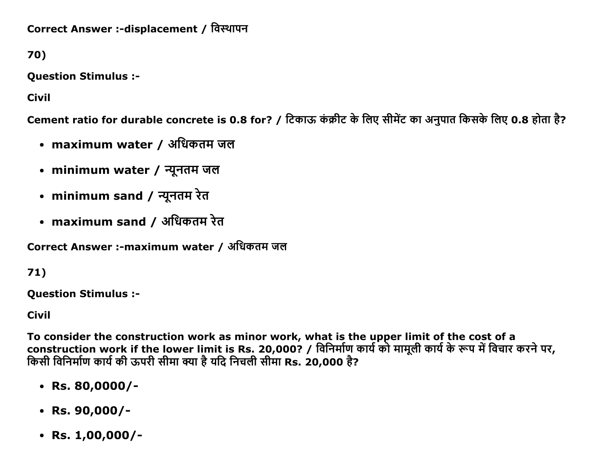Correct Answer :-displacement / विस्थापन

70)

**Question Stimulus :-**

**Civil** 

Cement ratio for durable concrete is 0.8 for? / टिकाऊ कंक्रीट के लिए सीमेंट का अनुपात किसके लिए 0.8 होता है?

- maximum water / अधिकतम जल
- minimum water / न्यूनतम जल
- minimum sand / न्यूनतम रेत
- maximum sand / अधिकतम रेत

Correct Answer :-maximum water / अधिकतम जल

71)

**Question Stimulus :-**

**Civil** 

To consider the construction work as minor work, what is the upper limit of the cost of a construction work if the lower limit is Rs. 20,000? / विनिर्माण कार्य को मामूली कार्य के रूप में विचार करने पर, किसी विनिर्माण कार्य की ऊपरी सीमा क्या है यदि निचली सीमा Rs. 20,000 है?

- $\cdot$  Rs. 80,0000/-
- $\cdot$  Rs. 90,000/-
- Rs.  $1,00,000/-$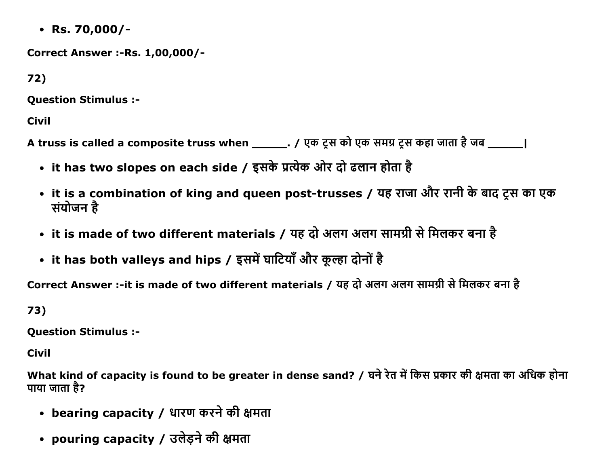$\cdot$  Rs. 70,000/-

**Correct Answer :- Rs. 1,00,000/-**

72)

**Question Stimulus :-**

**Civil** 

A truss is called a composite truss when \_\_\_\_\_\_\_. / एक ट्रस को एक समग्र ट्रस कहा जाता है जब \_\_\_\_\_\_\_\_ |

- it has two slopes on each side / इसके प्रत्येक ओर दो ढलान होता है
- it is a combination of king and queen post-trusses / यह राजा और रानी के बाद ट्रस का एक संयोजन है
- it is made of two different materials / यह दो अलग अलग सामग्री से मिलकर बना है
- it has both valleys and hips / इसमें घाटियाँ और कूल्हा दोनों है

Correct Answer :- it is made of two different materials / यह दो अलग अलग सामग्री से मिलकर बना है

73)

**Question Stimulus :-**

**Civil** 

What kind of capacity is found to be greater in dense sand? / घने रेत में किस प्रकार की क्षमता का अधिक होना पाया जाता है?

- bearing capacity / धारण करने की क्षमता
- pouring capacity / उलेड़ने की क्षमता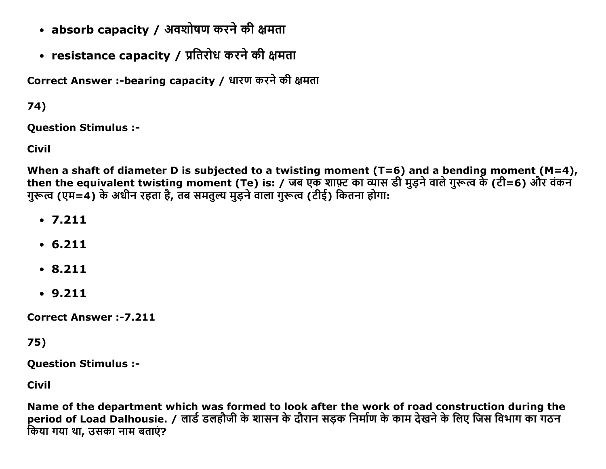- absorb capacity / अवशोषण करने की क्षमता
- resistance capacity / प्रतिरोध करने की क्षमता

Correct Answer :-bearing capacity / धारण करने की क्षमता

74)

**Ouestion Stimulus :-**

**Civil** 

When a shaft of diameter D is subjected to a twisting moment ( $T=6$ ) and a bending moment ( $M=4$ ), then the equivalent twisting moment (Te) is: / जब एक शाफ़्ट का व्यास डी मुड़ने वाले गुरूत्व के (टी=6) और वंकन गुरूत्व (एम=4) के अधीन रहता है, तब समतुल्य मुड़ने वाला गुरूत्व (टीई) कितना होगा:

- $.7.211$
- $6.211$
- $.8.211$
- $.9.211$

**Correct Answer:-7.211** 

 $75)$ 

**Question Stimulus :-**

**Civil** 

Name of the department which was formed to look after the work of road construction during the period of Load Dalhousie. / लार्ड डलहौजी के शासन के दौरान सड़क निर्माण के काम देखने के लिए जिस विभाग का गठन किया गया था. उसका नाम बताएं?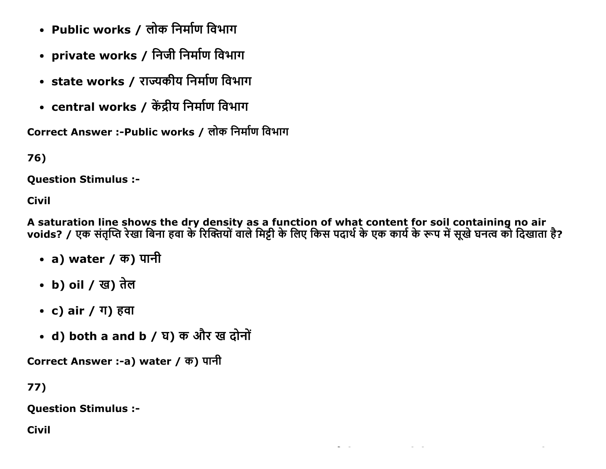- Public works / लोक निर्माण विभाग
- private works / निजी निर्माण विभाग
- state works / राज्यकीय निर्माण विभाग
- central works / केंद्रीय निर्माण विभाग

Correct Answer :-Public works / लोक निर्माण विभाग

76)

**Question Stimulus :-**

**Civil** 

A saturation line shows the dry density as a function of what content for soil containing no air<br>voids? / एक संतृप्ति रेखा बिना हवा के रिक्तियों वाले मिट्टी के लिए किस पदार्थ के एक कार्य के रूप में सूखे घनत्व को दिखाता है

- a) water / क) पानी
- b) oil / ख) तेल
- c) air / ग) हवा
- d) both a and b / घ) क और ख दोनों

Correct Answer :-a) water / क) पानी

 $77)$ 

**Question Stimulus :-**

**Civil**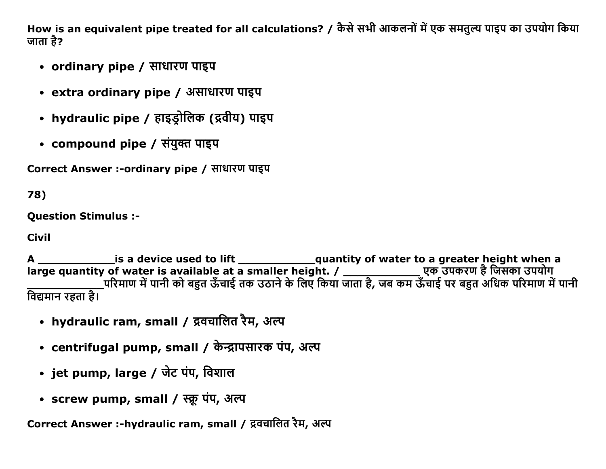How is an equivalent pipe treated for all calculations? / कैसे सभी आकलनों में एक समतुल्य पाइप का उपयोग किया जाता है?

- ordinary pipe / साधारण पाइप
- extra ordinary pipe / असाधारण पाइप
- hydraulic pipe / हाइड्रोलिक (द्रवीय) पाइप
- compound pipe / संयुक्त पाइप

Correct Answer :-ordinary pipe / साधारण पाइप

78)

**Ouestion Stimulus :-**

**Civil** 

विद्यमान रहता है।

- hydraulic ram, small / द्रवचालित रैम, अल्प
- centrifugal pump, small / केन्द्रापसारक पंप, अल्प
- jet pump, large / जेट पंप, विशाल
- screw pump, small / स्क्रू पंप, अल्प

Correct Answer :-hydraulic ram, small / द्रवचालित रैम, अल्प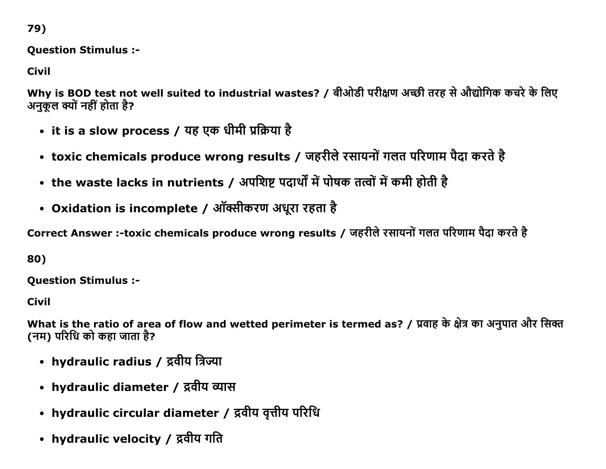79)

**Question Stimulus :-**

**Civil** 

Why is BOD test not well suited to industrial wastes? / बीओडी परीक्षण अच्छी तरह से औद्योगिक कचरे के लिए अनुकूल क्यों नहीं होता है?

- it is a slow process / यह एक धीमी प्रक्रिया है
- toxic chemicals produce wrong results / जहरीले रसायनों गलत परिणाम पैदा करते है
- the waste lacks in nutrients / अपशिष्ट पदार्थों में पोषक तत्वों में कमी होती है
- Oxidation is incomplete / ऑक्सीकरण अधूरा रहता है

Correct Answer :-toxic chemicals produce wrong results / जहरीले रसायनों गलत परिणाम पैदा करते है

80)

**Question Stimulus :-**

**Civil** 

What is the ratio of area of flow and wetted perimeter is termed as? / प्रवाह के क्षेत्र का अनुपात और सिक्त (नम) परिधि को कहा जाता है?

- hydraulic radius / द्रवीय त्रिज्या
- hydraulic diameter / द्रवीय व्यास
- hydraulic circular diameter / द्रवीय वृत्तीय परिधि
- hydraulic velocity / द्रवीय गति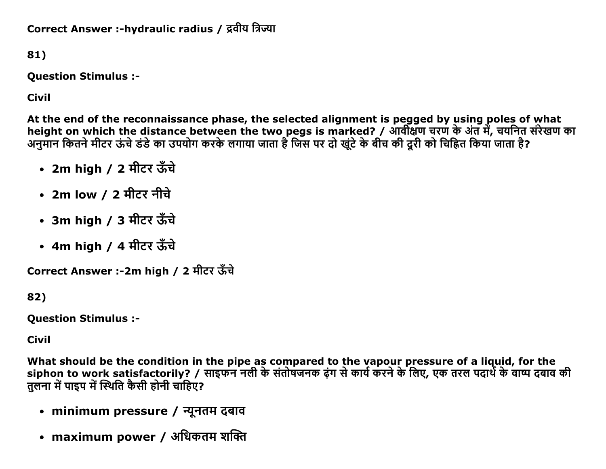Correct Answer :-hydraulic radius / द्रवीय त्रिज्या

81)

**Question Stimulus :-**

**Civil** 

At the end of the reconnaissance phase, the selected alignment is pegged by using poles of what height on which the distance between the two pegs is marked? / आवीक्षण चरण के अंत में, चयनित सरेखण का अनुमान कितने मीटर ऊंचे डंडे का उपयोग करके लगाया जाता है जिस पर दो खूंटे के बीच की दूरी को चिह्नित किया जाता है?

- 2m high / 2 मीटर ऊँचे
- 2m low / 2 मीटर नीचे
- 3m high / 3 मीटर ऊँचे
- 4m high / 4 मीटर ऊँचे

Correct Answer :-2m high / 2 मीटर ऊँचे

82)

**Question Stimulus :-**

**Civil** 

What should be the condition in the pipe as compared to the vapour pressure of a liquid, for the siphon to work satisfactorily? / साइफन नली के संतोषजनक ढ़ंग से कार्य करने के लिए, एक तरल पदार्थ के वाष्प दबाव की तलना में पाइप में स्थिति कैसी होनी चाहिए?

- minimum pressure / न्यूनतम दबाव
- maximum power / अधिकतम शक्ति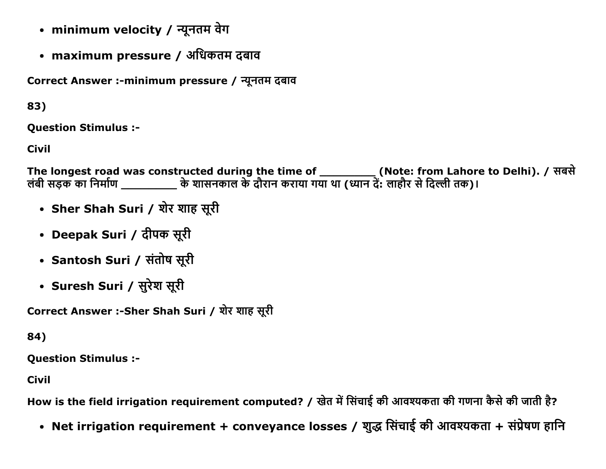- minimum velocity / न्यूनतम वेग
- maximum pressure / अधिकतम दबाव

Correct Answer :-minimum pressure / न्यूनतम दबाव

83)

Question Stimulus :

Civil

The longest road was constructed during the time of \_\_\_\_\_\_\_\_\_\_ (Note: from Lahore to Delhi). / सबसं लबी सड़क का निर्माण \_\_\_\_\_\_\_\_\_\_\_ के शासनकाल के दौरान कराया गया था (ध्यान दे: लाहौर से दिल्ली तक)।

- Sher Shah Suri / शेर शाह सूरी
- Deepak Suri / दीपक सूरी
- Santosh Suri / संतोष सूरी
- Suresh Suri / सुरेश सूरी

Correct Answer :-Sher Shah Suri / शेर शाह सूरी

# 84)

Question Stimulus :

Civil

How is the field irrigation requirement computed? / खेत में सिंचाई की आवश्यकता की गणना कैसे की जाती है?

• Net irrigation requirement + conveyance losses / शुद्ध सिंचाई की आवश्यकता + संप्रेषण हानि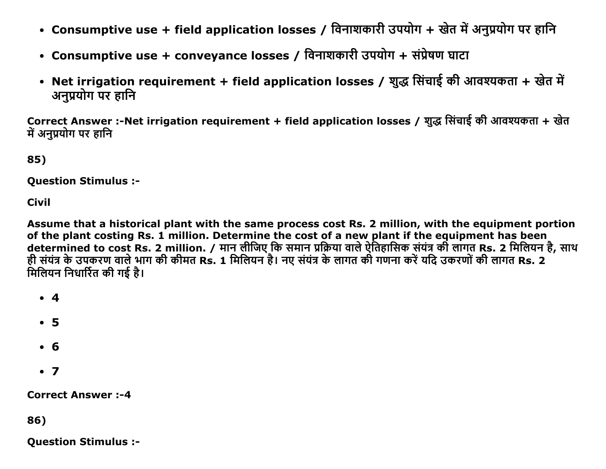- Consumptive use + field application losses / विनाशकारी उपयोग + खेत में अनुप्रयोग पर हानि
- Consumptive use + conveyance losses / विनाशकारी उपयोग + संप्रेषण घाटा
- Net irrigation requirement + field application losses / शुद्ध सिंचाई की आवश्यकता + खेत में अनुप्रयोग पर हानि

Correct Answer :-Net irrigation requirement + field application losses / शुद्ध सिंचाई की आवश्यकता + खेत में अनप्रयोग पर हानि

85)

Question Stimulus :

Civil

Assume that a historical plant with the same process cost Rs. 2 million, with the equipment portion of the plant costing Rs. 1 million. Determine the cost of a new plant if the equipment has been determined to cost Rs. 2 million. / मान लेजिए कि समान प्रक्रिया वाले ऐतिहासिक सयत्र की लागत Rs. 2 मिलियन हे, साथ हीं संयंत्र के उपकरण वाले भाग की कीमत Rs. 1 मिलियन है। नए संयंत्र के लागत की गणना करें यदि उकरणों की लागत Rs. 2 मिलियन निधार्रित की गई है।

- 4
- 5
- 6
- $\bullet$  7

Correct Answer :4

86)

Question Stimulus :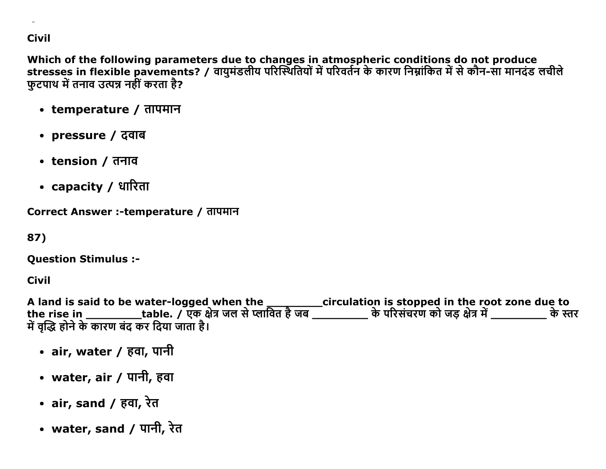#### **Civil**

Which of the following parameters due to changes in atmospheric conditions do not produce stresses in flexible pavements? / वायुमंडलीय परिस्थितियों में परिवर्तन के कारण निम्नांकित में से कौन-सा मानदंड लचीले फुटपाथ में तनाव उत्पन्न नहीं करता है?

- temperature / तापमान
- pressure / दवाब
- tension / तनाव
- capacity / धारिता

Correct Answer :-temperature / तापमान

87)

**Question Stimulus :-**

Civil

A land is said to be water-logged when the \_\_\_\_\_\_\_\_\_\_\_circulation is stopped in the root zone due to<br>the rise in \_\_\_\_\_\_\_\_\_\_table. / एक क्षेत्र जल से प्लावित है जब \_\_\_\_\_\_\_\_\_\_ के परिसंचरण को जड़ क्षेत्र में \_\_\_\_\_\_\_\_\_\_\_\_ के

- air, water / हवा, पानी
- water, air / पानी, हवा
- air, sand / हवा, रेत
- water, sand / पानी, रेत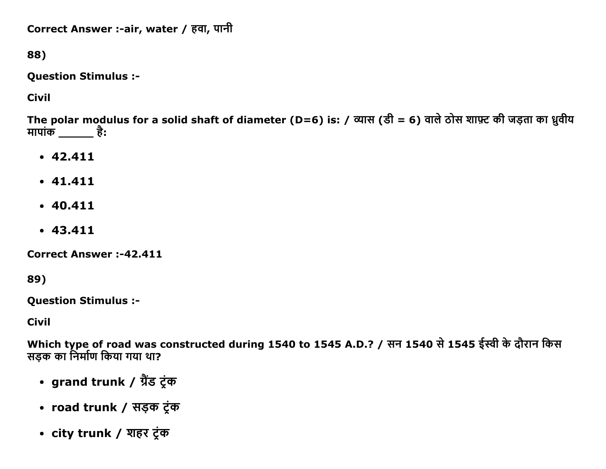```
Correct Answer :-air, water / हवा, पानी
```
88)

**Question Stimulus :-**

**Civil** 

The polar modulus for a solid shaft of diameter (D=6) is: / व्यास (डी = 6) वाले ठोस शाफ़्ट की जड़ता का ध्रुवीय मापांक  $\_\_\_\$ है:

- $-42.411$
- $-41.411$
- $-40.411$
- $-43.411$

**Correct Answer:-42.411** 

89)

**Question Stimulus :-**

**Civil** 

Which type of road was constructed during 1540 to 1545 A.D.? / सन 1540 से 1545 ईस्वी के दौरान किस सड़क का निर्माण किया गया था?

- grand trunk / ग्रैंड ट्रंक
- road trunk / सड़क टूंक
- city trunk / शहर टूंक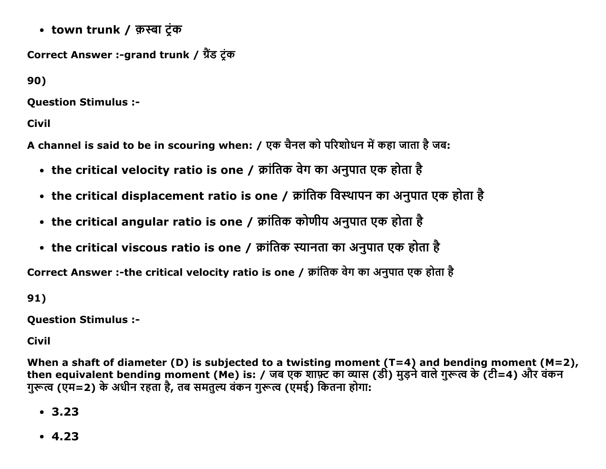• town trunk / क़स्बा टंक

```
Correct Answer :-grand trunk / ग्रैंड टंक
```
90)

**Ouestion Stimulus :-**

**Civil** 

A channel is said to be in scouring when: / एक चैनल को परिशोधन में कहा जाता है जब:

- the critical velocity ratio is one / क्रांतिक वेग का अनुपात एक होता है
- the critical displacement ratio is one / क्रांतिक विस्थापन का अनुपात एक होता है
- the critical angular ratio is one / क्रांतिक कोणीय अनुपात एक होता है
- the critical viscous ratio is one / क्रांतिक स्यानता का अनुपात एक होता है

Correct Answer :-the critical velocity ratio is one / क्रांतिक वेग का अनुपात एक होता है

 $91)$ 

**Question Stimulus :-**

**Civil** 

When a shaft of diameter (D) is subjected to a twisting moment ( $T=4$ ) and bending moment ( $M=2$ ), then equivalent bending moment (Me) is: / जब एक शाफ़्ट का व्यास (डी) मुड़ने वाले गुरूत्व के (टी=4) और वंकन गुरूत्व (एम=2) के अधीन रहता है, तब समतुल्य वंकन गुरूत्व (एमई) कितना होगा:

- $-3.23$
- $-4.23$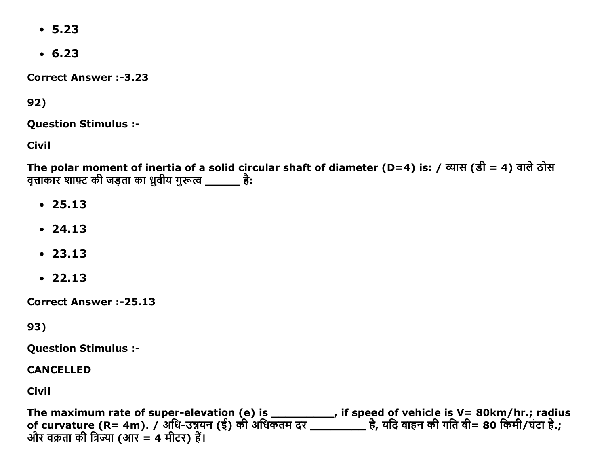- $-5.23$
- $6.23$

**Correct Answer:-3.23** 

92)

**Ouestion Stimulus :-**

**Civil** 

The polar moment of inertia of a solid circular shaft of diameter (D=4) is: / व्यास (डी = 4) वाले ठोस वृत्ताकार शाफ़्ट की जड़ता का ध्रुवीय गुरूत्व \_\_\_\_\_\_\_ है:

- $.25.13$
- $.24.13$
- $.23.13$
- $.22.13$

**Correct Answer:-25.13** 

93)

**Question Stimulus :-**

**CANCELLED** 

**Civil** 

The maximum rate of super-elevation (e) is \_\_\_\_\_\_\_\_\_\_, if speed of vehicle is V= 80km/hr.; radius<br>of curvature (R= 4m). / अधि-उन्नयन (ई) की अधिकतम दर \_\_\_\_\_\_\_\_\_\_ है, यदि वाहन की गति वी= 80 किमी/घंटा है.; और वक्रता की त्रिज्या (आर = 4 मीटर) हैं।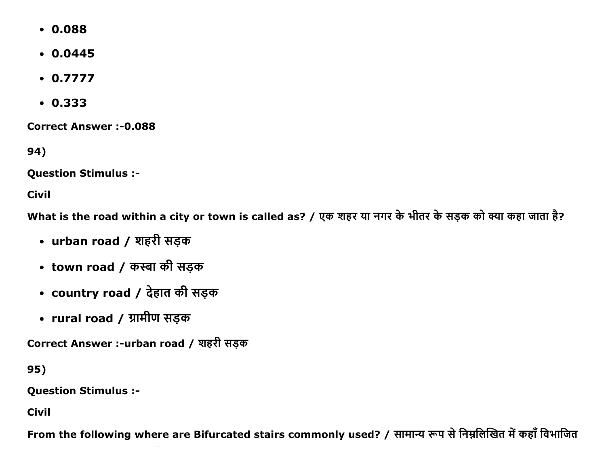- $0.088$
- $.00445$
- $0.7777$
- $0.333$

**Correct Answer:-0.088** 

94)

**Question Stimulus :-**

**Civil** 

What is the road within a city or town is called as? / एक शहर या नगर के भीतर के सड़क को क्या कहा जाता है?

- urban road / शहरी सड़क
- town road / कस्बा की सड़क
- country road / देहात की सड़क
- rural road / ग्रामीण सड़क

Correct Answer :-urban road / शहरी सड़क

95)

**Question Stimulus :-**

**Civil** 

From the following where are Bifurcated stairs commonly used? / सामान्य रूप से निम्नलिखित में कहाँ विभाजित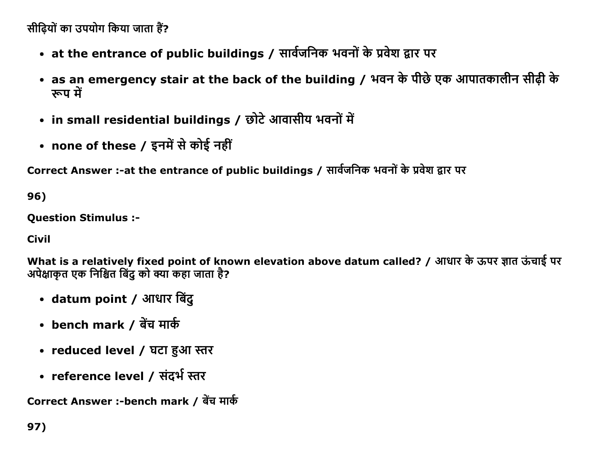सीढ़ियों का उपयोग किया जाता हैं?

- at the entrance of public buildings / सार्वजनिक भवनों के प्रवेश द्वार पर
- as an emergency stair at the back of the building / भवन के पीछे एक आपातकालीन सीढी के रूप में
- in small residential buildings / छोटे आवासीय भवनों में
- none of these / इनमें से कोई नहीं

Correct Answer :-at the entrance of public buildings / सार्वजनिक भवनों के प्रवेश द्वार पर

96)

**Question Stimulus :-**

**Civil** 

What is a relatively fixed point of known elevation above datum called? / आधार के ऊपर ज्ञात ऊंचाई पर अपेक्षाकत एक निश्चित बिंद को क्या कहा जाता है?

- datum point / आधार बिंदु
- bench mark / बेंच मार्क
- reduced level / घटा हुआ स्तर
- reference level / संदर्भ स्तर

Correct Answer :-bench mark / बेंच मार्क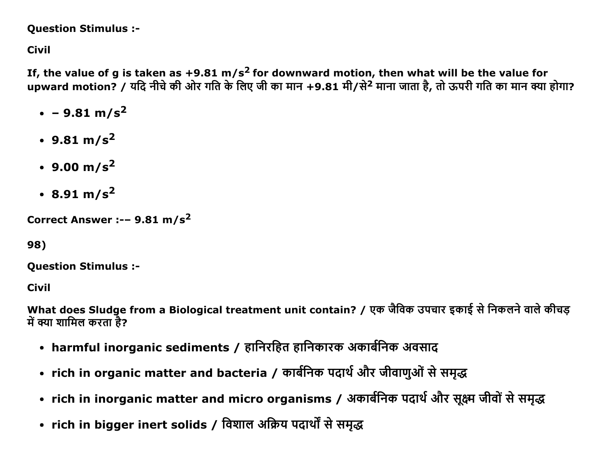**Question Stimulus :-**

**Civil** 

If, the value of g is taken as  $+9.81 \text{ m/s}^2$  for downward motion, then what will be the value for upward motion? / यदि नीचे की ओर गति के लिए जी का मान +9.81 मी/से<sup>2</sup> माना जाता है, तो ऊपरी गति का मान क्या होगा?

- $\cdot$  9.81 m/s<sup>2</sup>
- 9.81 m/s<sup>2</sup>
- 9.00 m/s<sup>2</sup>
- $\cdot$  8.91 m/s<sup>2</sup>

Correct Answer :-- 9.81 m/s<sup>2</sup>

98)

**Question Stimulus :-**

**Civil** 

What does Sludge from a Biological treatment unit contain? / एक जैविक उपचार इकाई से निकलने वाले कीचड़ में क्या शामिल करता है?

- harmful inorganic sediments / हानिरहित हानिकारक अकार्बनिक अवसाद
- rich in organic matter and bacteria / कार्बनिक पदार्थ और जीवाणुओं से समद्ध
- rich in inorganic matter and micro organisms / अकार्बनिक पदार्थ और सूक्ष्म जीवों से समृद्ध
- rich in bigger inert solids / विशाल अक्रिय पदार्थों से समृद्ध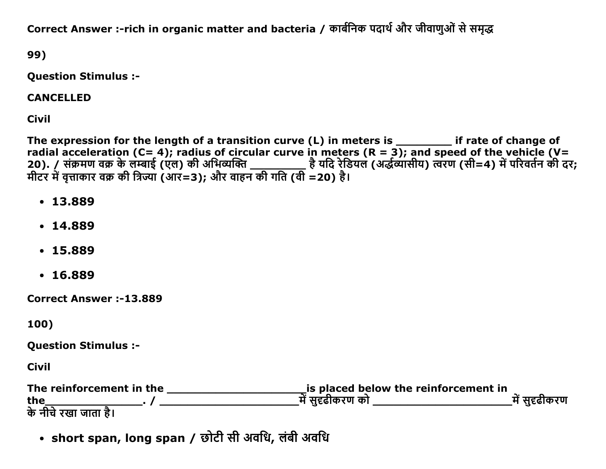Correct Answer :-rich in organic matter and bacteria / कार्बनिक पदार्थ और जीवाणुओं से समृद्ध

99)

**Question Stimulus :-**

**CANCELLED** 

**Civil** 

The expression for the length of a transition curve (L) in meters is \_\_\_\_\_\_\_ if rate of change of radial acceleration (C= 4); radius of circular curve in meters (R = 3); and speed of the vehicle (V= 

- $.13.889$
- $.14.889$
- $.15.889$
- $.16.889$

**Correct Answer:-13.889** 

100)

**Question Stimulus :-**

**Civil** 

| The reinforcement in the | is placed below the reinforcement in |             |
|--------------------------|--------------------------------------|-------------|
| the                      | में सहढीकरण को                       | में सहढीकरण |
| के नीचे रखा जाता है।     |                                      |             |

• short span, long span / छोटी सी अवधि, लंबी अवधि